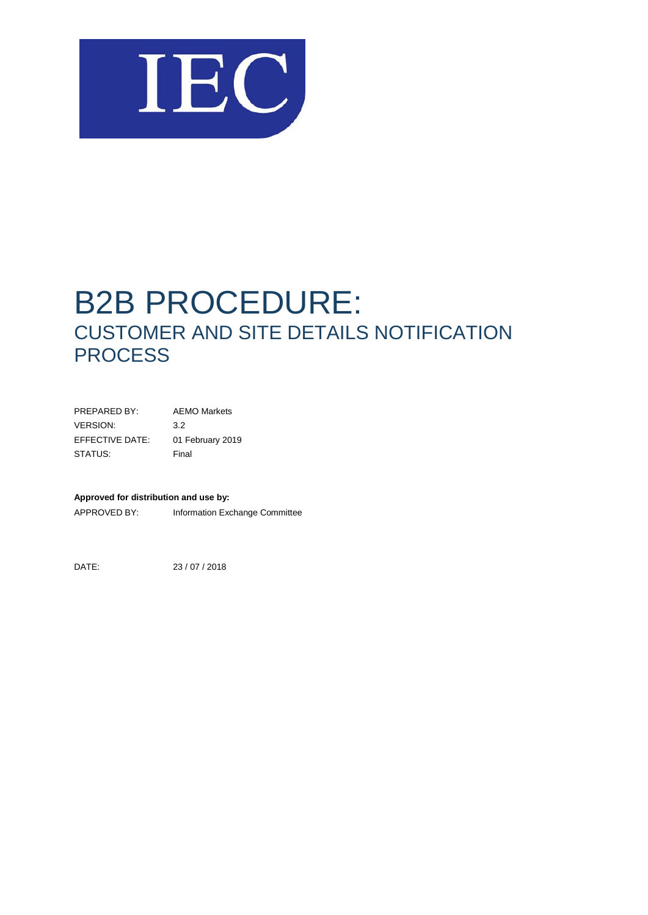

# B2B PROCEDURE: CUSTOMER AND SITE DETAILS NOTIFICATION **PROCESS**

PREPARED BY: AEMO Markets VERSION: 3.2 EFFECTIVE DATE: 01 February 2019 STATUS: Final

#### **Approved for distribution and use by:**

APPROVED BY: Information Exchange Committee

DATE: 23 / 07 / 2018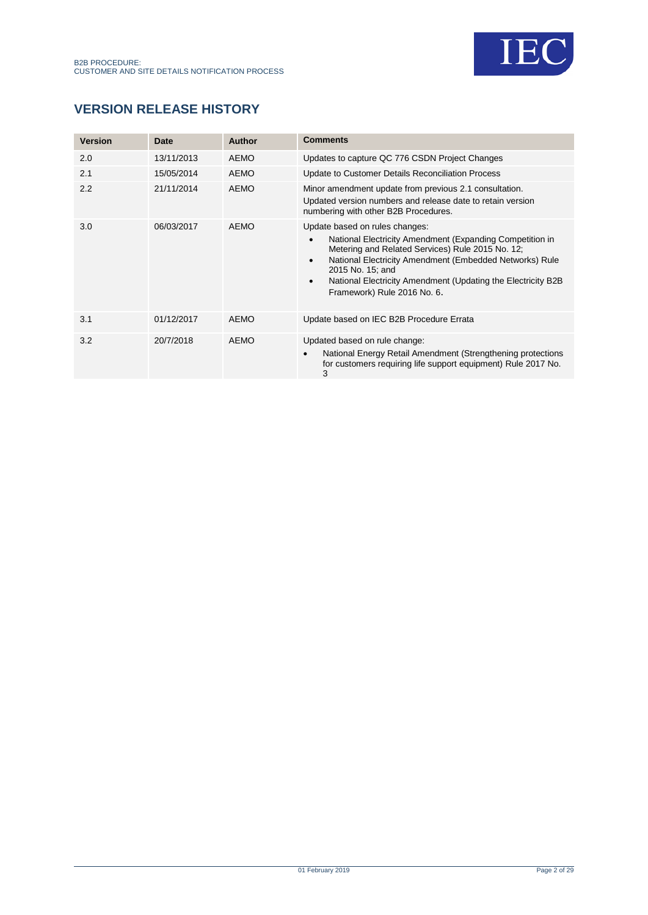

# **VERSION RELEASE HISTORY**

| <b>Version</b> | Date       | Author      | <b>Comments</b>                                                                                                                                                                                                                                                                                                                                                     |
|----------------|------------|-------------|---------------------------------------------------------------------------------------------------------------------------------------------------------------------------------------------------------------------------------------------------------------------------------------------------------------------------------------------------------------------|
| 2.0            | 13/11/2013 | <b>AEMO</b> | Updates to capture QC 776 CSDN Project Changes                                                                                                                                                                                                                                                                                                                      |
| 2.1            | 15/05/2014 | <b>AEMO</b> | Update to Customer Details Reconciliation Process                                                                                                                                                                                                                                                                                                                   |
| 2.2            | 21/11/2014 | <b>AEMO</b> | Minor amendment update from previous 2.1 consultation.<br>Updated version numbers and release date to retain version<br>numbering with other B2B Procedures.                                                                                                                                                                                                        |
| 3.0            | 06/03/2017 | AEMO        | Update based on rules changes:<br>National Electricity Amendment (Expanding Competition in<br>$\bullet$<br>Metering and Related Services) Rule 2015 No. 12;<br>National Electricity Amendment (Embedded Networks) Rule<br>$\bullet$<br>2015 No. 15: and<br>National Electricity Amendment (Updating the Electricity B2B<br>$\bullet$<br>Framework) Rule 2016 No. 6. |
| 3.1            | 01/12/2017 | <b>AEMO</b> | Update based on IEC B2B Procedure Errata                                                                                                                                                                                                                                                                                                                            |
| 3.2            | 20/7/2018  | <b>AEMO</b> | Updated based on rule change:<br>National Energy Retail Amendment (Strengthening protections<br>$\bullet$<br>for customers requiring life support equipment) Rule 2017 No.<br>3                                                                                                                                                                                     |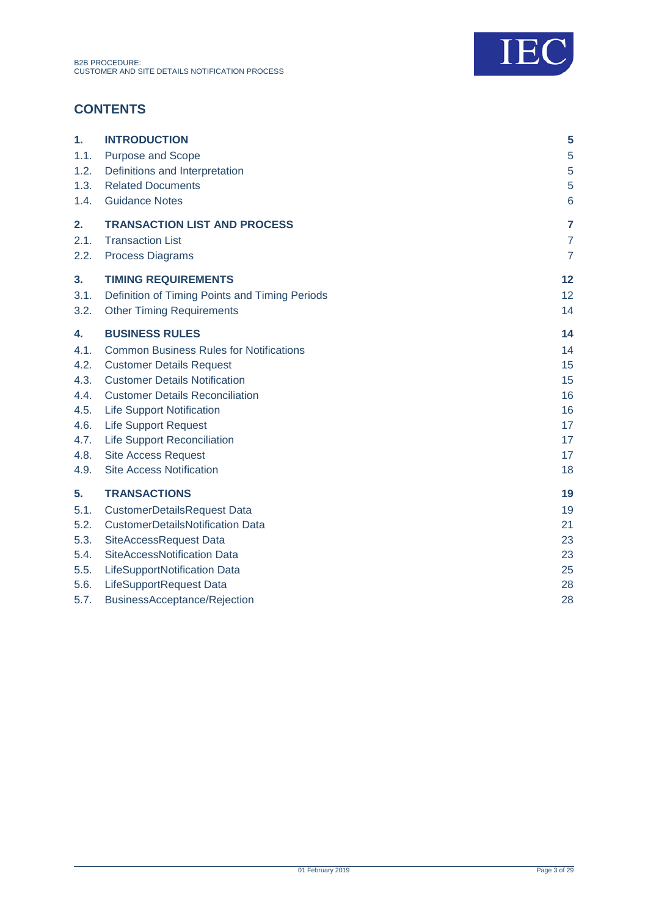

# **CONTENTS**

| 1.   | <b>INTRODUCTION</b>                            | 5               |
|------|------------------------------------------------|-----------------|
| 1.1. | <b>Purpose and Scope</b>                       | 5               |
| 1.2. | Definitions and Interpretation                 | 5               |
| 1.3. | <b>Related Documents</b>                       | 5               |
| 1.4. | <b>Guidance Notes</b>                          | $6\phantom{1}6$ |
| 2.   | <b>TRANSACTION LIST AND PROCESS</b>            | $\overline{7}$  |
| 2.1. | <b>Transaction List</b>                        | $\overline{7}$  |
| 2.2. | <b>Process Diagrams</b>                        | $\overline{7}$  |
| 3.   | <b>TIMING REQUIREMENTS</b>                     | 12              |
| 3.1. | Definition of Timing Points and Timing Periods | 12              |
| 3.2. | <b>Other Timing Requirements</b>               | 14              |
| 4.   | <b>BUSINESS RULES</b>                          | 14              |
| 4.1. | <b>Common Business Rules for Notifications</b> | 14              |
| 4.2. | <b>Customer Details Request</b>                | 15              |
| 4.3. | <b>Customer Details Notification</b>           | 15              |
| 4.4. | <b>Customer Details Reconciliation</b>         | 16              |
| 4.5. | <b>Life Support Notification</b>               | 16              |
| 4.6. | <b>Life Support Request</b>                    | 17              |
| 4.7. | <b>Life Support Reconciliation</b>             | 17              |
| 4.8. | <b>Site Access Request</b>                     | 17              |
| 4.9. | <b>Site Access Notification</b>                | 18              |
| 5.   | <b>TRANSACTIONS</b>                            | 19              |
| 5.1. | <b>CustomerDetailsRequest Data</b>             | 19              |
| 5.2. | <b>CustomerDetailsNotification Data</b>        | 21              |
| 5.3. | SiteAccessRequest Data                         | 23              |
| 5.4. | SiteAccessNotification Data                    | 23              |
| 5.5. | LifeSupportNotification Data                   | 25              |
| 5.6. | LifeSupportRequest Data                        | 28              |
| 5.7. | BusinessAcceptance/Rejection                   | 28              |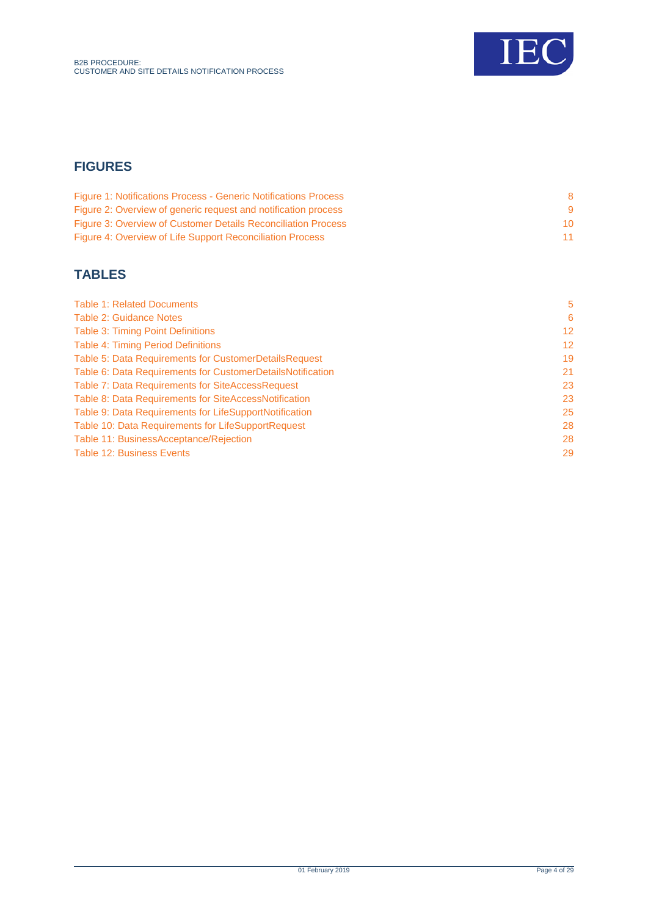

# **FIGURES**

| <b>Figure 1: Notifications Process - Generic Notifications Process</b> |    |
|------------------------------------------------------------------------|----|
| Figure 2: Overview of generic request and notification process         |    |
| <b>Figure 3: Overview of Customer Details Reconciliation Process</b>   | 10 |
| Figure 4: Overview of Life Support Reconciliation Process              | 11 |

# **TABLES**

| <b>Table 1: Related Documents</b>                          | 5               |
|------------------------------------------------------------|-----------------|
| <b>Table 2: Guidance Notes</b>                             | 6               |
| <b>Table 3: Timing Point Definitions</b>                   | 12 <sup>2</sup> |
| <b>Table 4: Timing Period Definitions</b>                  | 12 <sup>2</sup> |
| Table 5: Data Requirements for CustomerDetailsRequest      | 19              |
| Table 6: Data Requirements for CustomerDetailsNotification | 21              |
| Table 7: Data Requirements for SiteAccessRequest           | 23              |
| Table 8: Data Requirements for SiteAccessNotification      | 23              |
| Table 9: Data Requirements for LifeSupportNotification     | 25              |
| Table 10: Data Requirements for LifeSupportRequest         | 28              |
| Table 11: BusinessAcceptance/Rejection                     | 28              |
| <b>Table 12: Business Events</b>                           | 29              |
|                                                            |                 |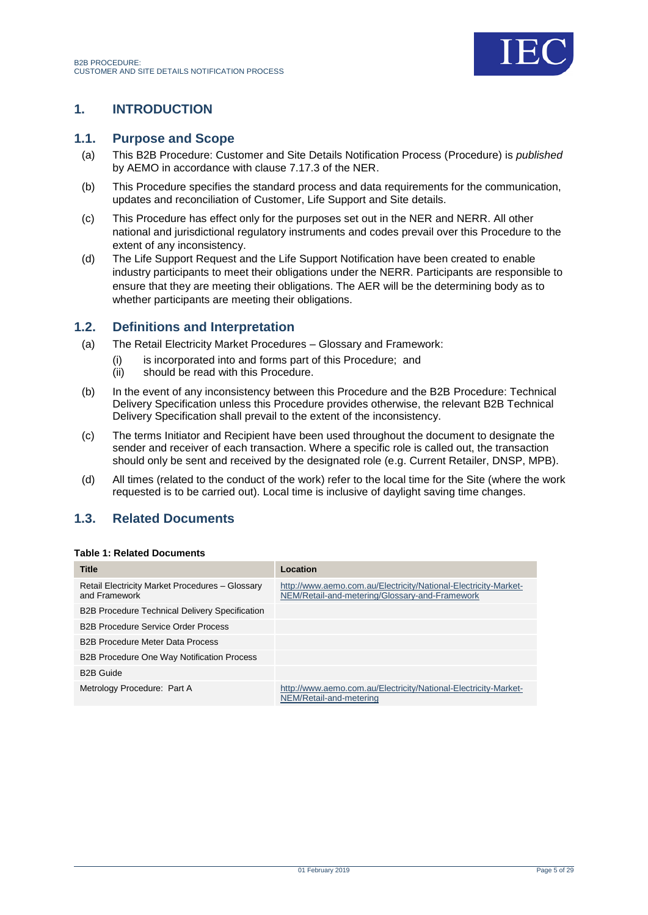

# <span id="page-4-0"></span>**1. INTRODUCTION**

### <span id="page-4-1"></span>**1.1. Purpose and Scope**

- (a) This B2B Procedure: Customer and Site Details Notification Process (Procedure) is *published* by AEMO in accordance with clause 7.17.3 of the NER.
- (b) This Procedure specifies the standard process and data requirements for the communication, updates and reconciliation of Customer, Life Support and Site details.
- (c) This Procedure has effect only for the purposes set out in the NER and NERR. All other national and jurisdictional regulatory instruments and codes prevail over this Procedure to the extent of any inconsistency.
- (d) The Life Support Request and the Life Support Notification have been created to enable industry participants to meet their obligations under the NERR. Participants are responsible to ensure that they are meeting their obligations. The AER will be the determining body as to whether participants are meeting their obligations.

### <span id="page-4-2"></span>**1.2. Definitions and Interpretation**

- (a) The Retail Electricity Market Procedures Glossary and Framework:
	- (i) is incorporated into and forms part of this Procedure; and
	- (ii) should be read with this Procedure.
- (b) In the event of any inconsistency between this Procedure and the B2B Procedure: Technical Delivery Specification unless this Procedure provides otherwise, the relevant B2B Technical Delivery Specification shall prevail to the extent of the inconsistency.
- (c) The terms Initiator and Recipient have been used throughout the document to designate the sender and receiver of each transaction. Where a specific role is called out, the transaction should only be sent and received by the designated role (e.g. Current Retailer, DNSP, MPB).
- (d) All times (related to the conduct of the work) refer to the local time for the Site (where the work requested is to be carried out). Local time is inclusive of daylight saving time changes.

# <span id="page-4-3"></span>**1.3. Related Documents**

### <span id="page-4-4"></span>**Table 1: Related Documents**

| <b>Title</b>                                                     | Location                                                                                                          |
|------------------------------------------------------------------|-------------------------------------------------------------------------------------------------------------------|
| Retail Electricity Market Procedures - Glossary<br>and Framework | http://www.aemo.com.au/Electricity/National-Electricity-Market-<br>NEM/Retail-and-metering/Glossary-and-Framework |
| <b>B2B Procedure Technical Delivery Specification</b>            |                                                                                                                   |
| <b>B2B Procedure Service Order Process</b>                       |                                                                                                                   |
| <b>B2B Procedure Meter Data Process</b>                          |                                                                                                                   |
| <b>B2B Procedure One Way Notification Process</b>                |                                                                                                                   |
| <b>B2B Guide</b>                                                 |                                                                                                                   |
| Metrology Procedure: Part A                                      | http://www.aemo.com.au/Electricity/National-Electricity-Market-<br>NEM/Retail-and-metering                        |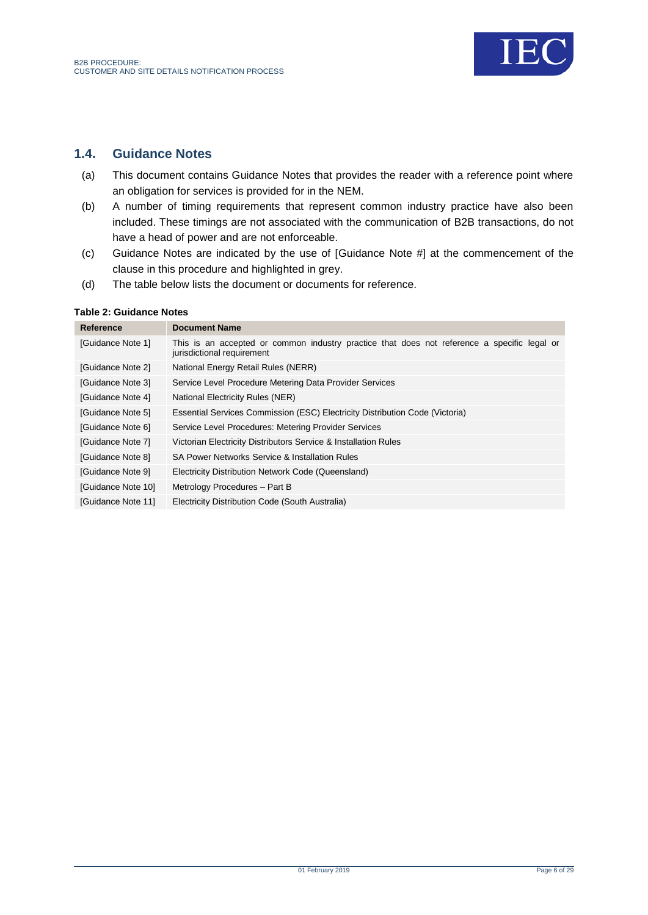

# <span id="page-5-0"></span>**1.4. Guidance Notes**

- (a) This document contains Guidance Notes that provides the reader with a reference point where an obligation for services is provided for in the NEM.
- (b) A number of timing requirements that represent common industry practice have also been included. These timings are not associated with the communication of B2B transactions, do not have a head of power and are not enforceable.
- (c) Guidance Notes are indicated by the use of [Guidance Note #] at the commencement of the clause in this procedure and highlighted in grey.
- (d) The table below lists the document or documents for reference.

#### <span id="page-5-1"></span>**Table 2: Guidance Notes**

| Reference          | <b>Document Name</b>                                                                                                      |
|--------------------|---------------------------------------------------------------------------------------------------------------------------|
| [Guidance Note 1]  | This is an accepted or common industry practice that does not reference a specific legal or<br>jurisdictional requirement |
| [Guidance Note 2]  | National Energy Retail Rules (NERR)                                                                                       |
| [Guidance Note 3]  | Service Level Procedure Metering Data Provider Services                                                                   |
| [Guidance Note 4]  | National Electricity Rules (NER)                                                                                          |
| [Guidance Note 5]  | Essential Services Commission (ESC) Electricity Distribution Code (Victoria)                                              |
| [Guidance Note 6]  | Service Level Procedures: Metering Provider Services                                                                      |
| [Guidance Note 7]  | Victorian Electricity Distributors Service & Installation Rules                                                           |
| [Guidance Note 8]  | SA Power Networks Service & Installation Rules                                                                            |
| [Guidance Note 9]  | Electricity Distribution Network Code (Queensland)                                                                        |
| [Guidance Note 10] | Metrology Procedures - Part B                                                                                             |
| [Guidance Note 11] | Electricity Distribution Code (South Australia)                                                                           |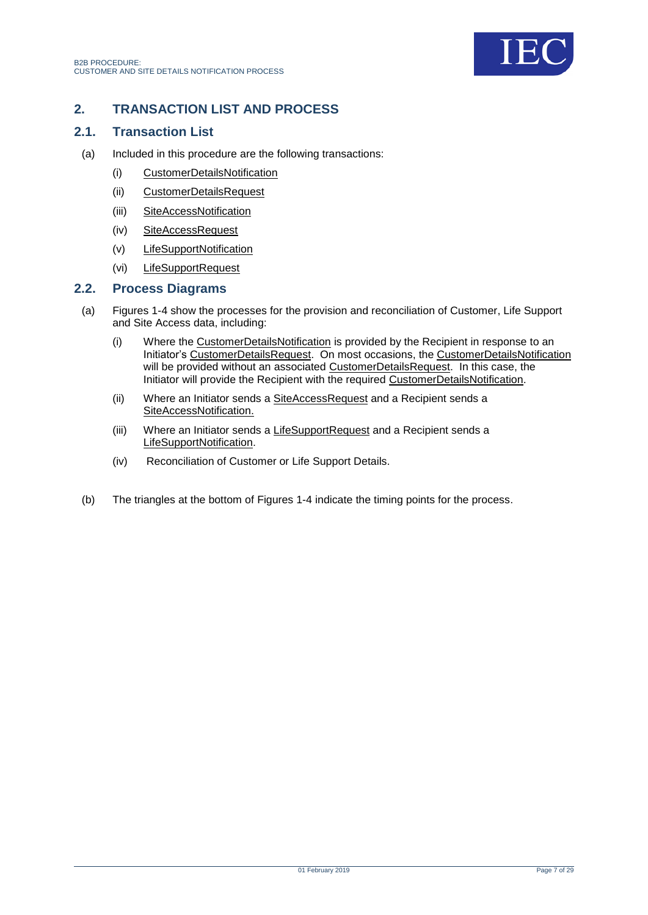

# <span id="page-6-0"></span>**2. TRANSACTION LIST AND PROCESS**

### <span id="page-6-1"></span>**2.1. Transaction List**

- (a) Included in this procedure are the following transactions:
	- (i) CustomerDetailsNotification
	- (ii) CustomerDetailsRequest
	- (iii) SiteAccessNotification
	- (iv) SiteAccessRequest
	- (v) LifeSupportNotification
	- (vi) LifeSupportRequest

### <span id="page-6-2"></span>**2.2. Process Diagrams**

- (a) Figures 1-4 show the processes for the provision and reconciliation of Customer, Life Support and Site Access data, including:
	- (i) Where the CustomerDetailsNotification is provided by the Recipient in response to an Initiator's CustomerDetailsRequest. On most occasions, the CustomerDetailsNotification will be provided without an associated CustomerDetailsRequest. In this case, the Initiator will provide the Recipient with the required CustomerDetailsNotification.
	- (ii) Where an Initiator sends a SiteAccessRequest and a Recipient sends a SiteAccessNotification.
	- (iii) Where an Initiator sends a LifeSupportRequest and a Recipient sends a LifeSupportNotification.
	- (iv) Reconciliation of Customer or Life Support Details.
- (b) The triangles at the bottom of Figures 1-4 indicate the timing points for the process.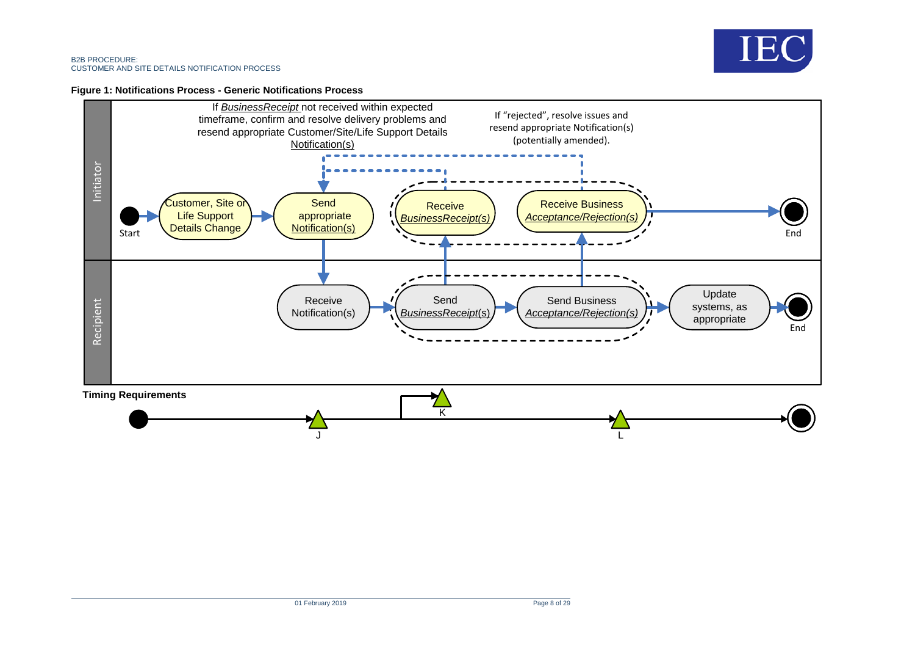

#### **Figure 1: Notifications Process - Generic Notifications Process**

<span id="page-7-0"></span>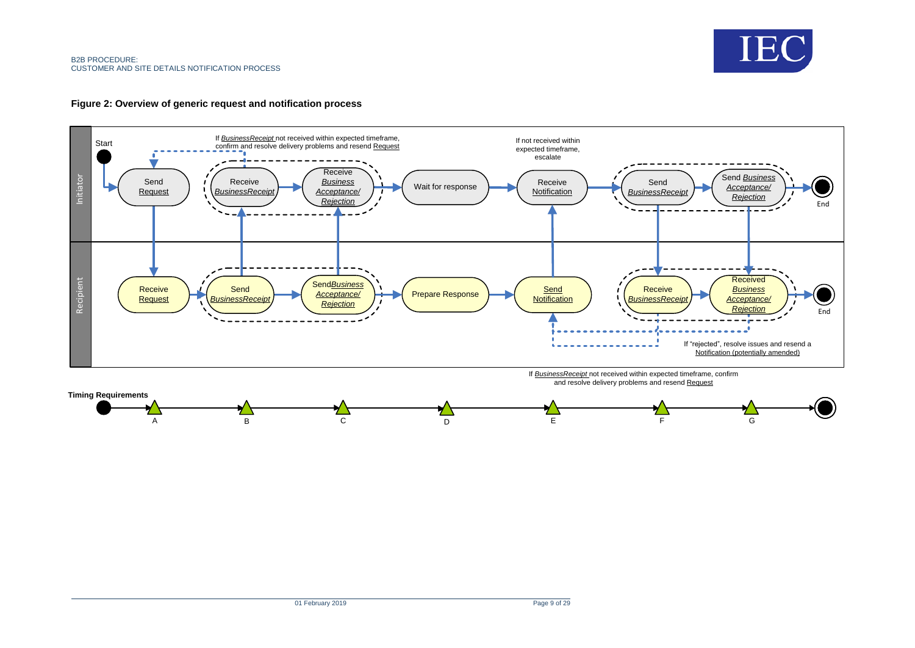



<span id="page-8-0"></span>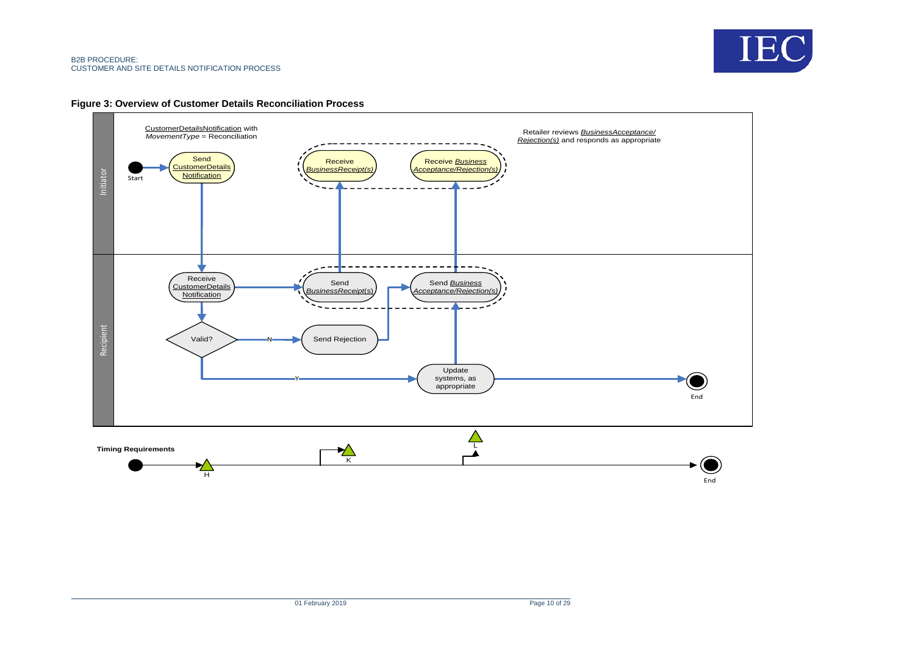



<span id="page-9-0"></span>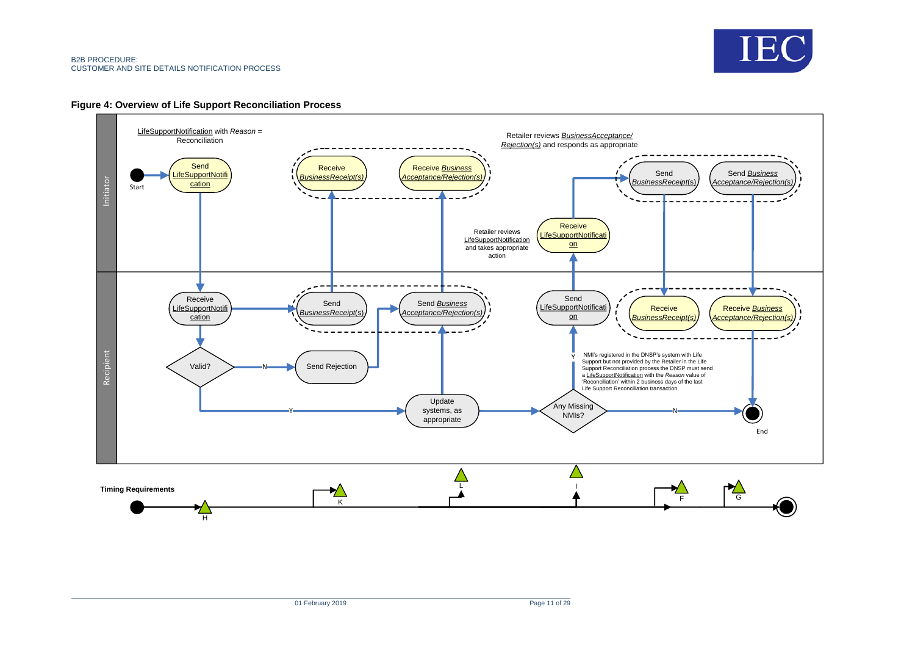

#### **Figure 4: Overview of Life Support Reconciliation Process**

<span id="page-10-0"></span>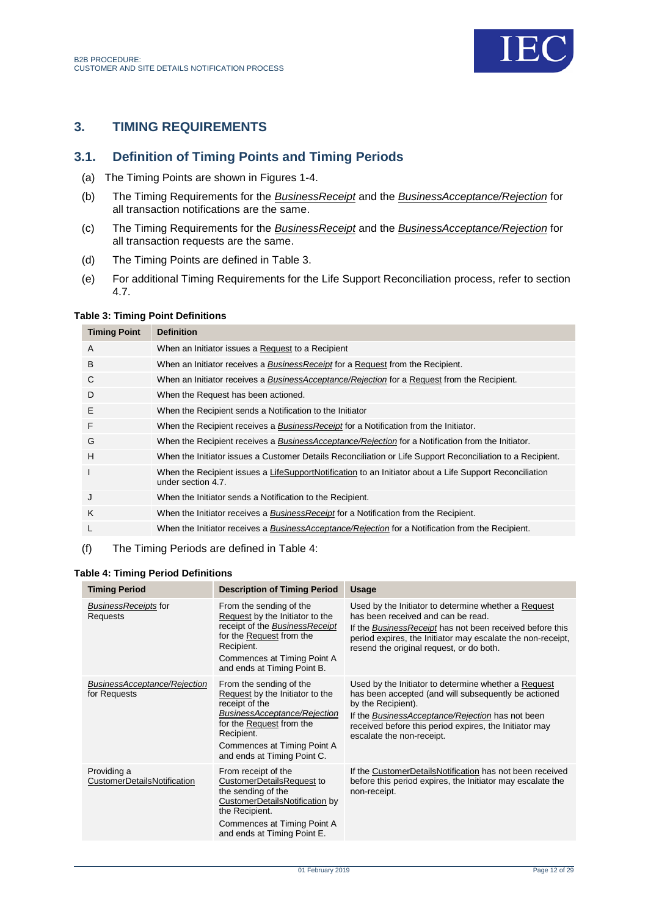

# <span id="page-11-0"></span>**3. TIMING REQUIREMENTS**

# <span id="page-11-1"></span>**3.1. Definition of Timing Points and Timing Periods**

- (a) The Timing Points are shown in Figures 1-4.
- (b) The Timing Requirements for the *BusinessReceipt* and the *BusinessAcceptance/Rejection* for all transaction notifications are the same.
- (c) The Timing Requirements for the *BusinessReceipt* and the *BusinessAcceptance/Rejection* for all transaction requests are the same.
- (d) The Timing Points are defined in [Table 3.](#page-11-2)
- (e) For additional Timing Requirements for the Life Support Reconciliation process, refer to section 4.7.

#### <span id="page-11-2"></span>**Table 3: Timing Point Definitions**

| <b>Timing Point</b> | <b>Definition</b>                                                                                                             |
|---------------------|-------------------------------------------------------------------------------------------------------------------------------|
| A                   | When an Initiator issues a Request to a Recipient                                                                             |
| B                   | When an Initiator receives a <i>BusinessReceipt</i> for a Request from the Recipient.                                         |
| C                   | When an Initiator receives a BusinessAcceptance/Rejection for a Request from the Recipient.                                   |
| D                   | When the Request has been actioned.                                                                                           |
| Ε                   | When the Recipient sends a Notification to the Initiator                                                                      |
| F                   | When the Recipient receives a <i>BusinessReceipt</i> for a Notification from the Initiator.                                   |
| G                   | When the Recipient receives a <b>BusinessAcceptance/Rejection</b> for a Notification from the Initiator.                      |
| H                   | When the Initiator issues a Customer Details Reconciliation or Life Support Reconciliation to a Recipient.                    |
| T                   | When the Recipient issues a LifeSupportNotification to an Initiator about a Life Support Reconciliation<br>under section 4.7. |
| J                   | When the Initiator sends a Notification to the Recipient.                                                                     |
| K                   | When the Initiator receives a <b>BusinessReceipt</b> for a Notification from the Recipient.                                   |
| L                   | When the Initiator receives a BusinessAcceptance/Rejection for a Notification from the Recipient.                             |
|                     |                                                                                                                               |

#### (f) The Timing Periods are defined in Table 4:

#### <span id="page-11-3"></span>**Table 4: Timing Period Definitions**

| <b>Timing Period</b>                         | <b>Description of Timing Period</b>                                                                                                                                                                                  | <b>Usage</b>                                                                                                                                                                                                                                                                  |
|----------------------------------------------|----------------------------------------------------------------------------------------------------------------------------------------------------------------------------------------------------------------------|-------------------------------------------------------------------------------------------------------------------------------------------------------------------------------------------------------------------------------------------------------------------------------|
| <b>BusinessReceipts for</b><br>Requests      | From the sending of the<br>Request by the Initiator to the<br>receipt of the BusinessReceipt<br>for the Request from the<br>Recipient.<br>Commences at Timing Point A<br>and ends at Timing Point B.                 | Used by the Initiator to determine whether a Request<br>has been received and can be read.<br>If the Business Receipt has not been received before this<br>period expires, the Initiator may escalate the non-receipt,<br>resend the original request, or do both.            |
| BusinessAcceptance/Rejection<br>for Requests | From the sending of the<br>Request by the Initiator to the<br>receipt of the<br>BusinessAcceptance/Rejection<br>for the Request from the<br>Recipient.<br>Commences at Timing Point A<br>and ends at Timing Point C. | Used by the Initiator to determine whether a Request<br>has been accepted (and will subsequently be actioned<br>by the Recipient).<br>If the BusinessAcceptance/Rejection has not been<br>received before this period expires, the Initiator may<br>escalate the non-receipt. |
| Providing a<br>CustomerDetailsNotification   | From receipt of the<br>CustomerDetailsRequest to<br>the sending of the<br>CustomerDetailsNotification by<br>the Recipient.<br>Commences at Timing Point A<br>and ends at Timing Point E.                             | If the CustomerDetailsNotification has not been received<br>before this period expires, the Initiator may escalate the<br>non-receipt.                                                                                                                                        |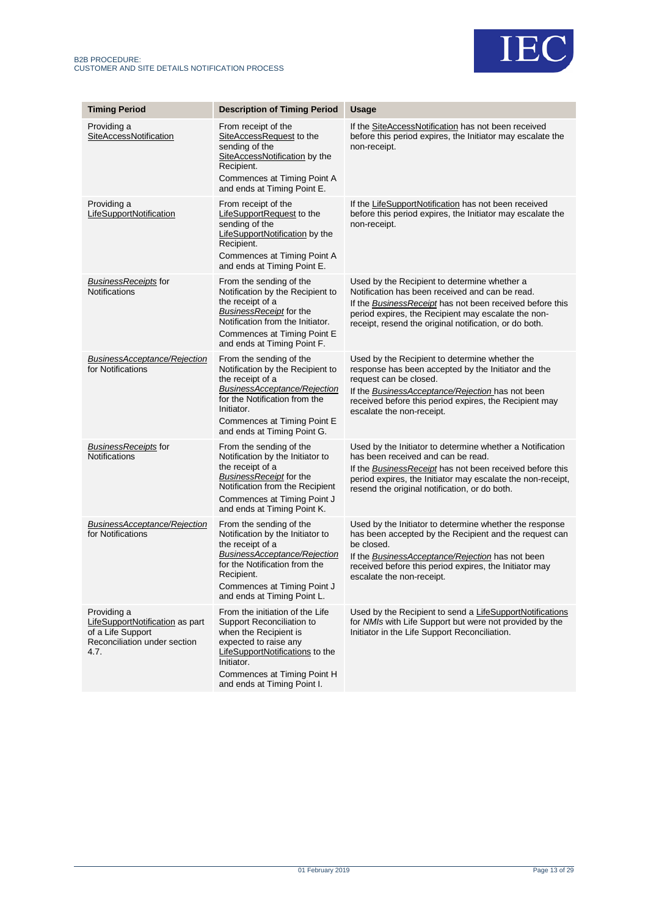



| <b>Timing Period</b>                                                                                        | <b>Description of Timing Period</b>                                                                                                                                                                                           | <b>Usage</b>                                                                                                                                                                                                                                                                  |
|-------------------------------------------------------------------------------------------------------------|-------------------------------------------------------------------------------------------------------------------------------------------------------------------------------------------------------------------------------|-------------------------------------------------------------------------------------------------------------------------------------------------------------------------------------------------------------------------------------------------------------------------------|
| Providing a<br>SiteAccessNotification                                                                       | From receipt of the<br>SiteAccessRequest to the<br>sending of the<br>SiteAccessNotification by the<br>Recipient.<br>Commences at Timing Point A<br>and ends at Timing Point E.                                                | If the SiteAccessNotification has not been received<br>before this period expires, the Initiator may escalate the<br>non-receipt.                                                                                                                                             |
| Providing a<br>LifeSupportNotification                                                                      | From receipt of the<br>LifeSupportRequest to the<br>sending of the<br><b>LifeSupportNotification</b> by the<br>Recipient.<br>Commences at Timing Point A<br>and ends at Timing Point E.                                       | If the LifeSupportNotification has not been received<br>before this period expires, the Initiator may escalate the<br>non-receipt.                                                                                                                                            |
| <b>BusinessReceipts</b> for<br>Notifications                                                                | From the sending of the<br>Notification by the Recipient to<br>the receipt of a<br>BusinessReceipt for the<br>Notification from the Initiator.<br>Commences at Timing Point E<br>and ends at Timing Point F.                  | Used by the Recipient to determine whether a<br>Notification has been received and can be read.<br>If the Business Receipt has not been received before this<br>period expires, the Recipient may escalate the non-<br>receipt, resend the original notification, or do both. |
| <b>BusinessAcceptance/Rejection</b><br>for Notifications                                                    | From the sending of the<br>Notification by the Recipient to<br>the receipt of a<br>BusinessAcceptance/Rejection<br>for the Notification from the<br>Initiator.<br>Commences at Timing Point E<br>and ends at Timing Point G.  | Used by the Recipient to determine whether the<br>response has been accepted by the Initiator and the<br>request can be closed.<br>If the BusinessAcceptance/Rejection has not been<br>received before this period expires, the Recipient may<br>escalate the non-receipt.    |
| BusinessReceipts for<br><b>Notifications</b>                                                                | From the sending of the<br>Notification by the Initiator to<br>the receipt of a<br>BusinessReceipt for the<br>Notification from the Recipient<br>Commences at Timing Point J<br>and ends at Timing Point K.                   | Used by the Initiator to determine whether a Notification<br>has been received and can be read.<br>If the Business Receipt has not been received before this<br>period expires, the Initiator may escalate the non-receipt,<br>resend the original notification, or do both.  |
| <b>BusinessAcceptance/Rejection</b><br>for Notifications                                                    | From the sending of the<br>Notification by the Initiator to<br>the receipt of a<br>BusinessAcceptance/Rejection<br>for the Notification from the<br>Recipient.<br>Commences at Timing Point J<br>and ends at Timing Point L.  | Used by the Initiator to determine whether the response<br>has been accepted by the Recipient and the request can<br>be closed.<br>If the BusinessAcceptance/Rejection has not been<br>received before this period expires, the Initiator may<br>escalate the non-receipt.    |
| Providing a<br>LifeSupportNotification as part<br>of a Life Support<br>Reconciliation under section<br>4.7. | From the initiation of the Life<br>Support Reconciliation to<br>when the Recipient is<br>expected to raise any<br>LifeSupportNotifications to the<br>Initiator.<br>Commences at Timing Point H<br>and ends at Timing Point I. | Used by the Recipient to send a LifeSupportNotifications<br>for NMIs with Life Support but were not provided by the<br>Initiator in the Life Support Reconciliation.                                                                                                          |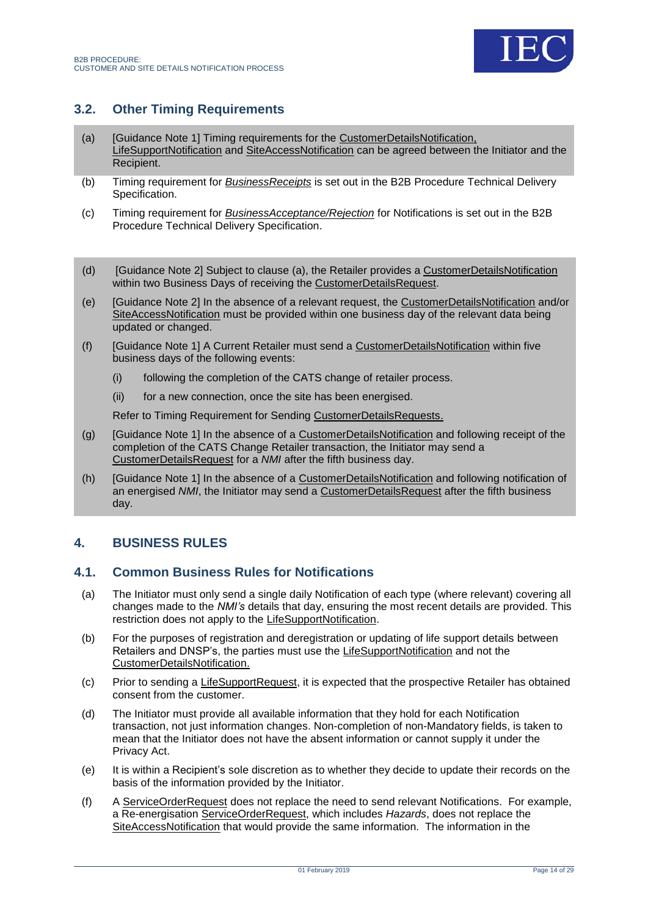

# <span id="page-13-0"></span>**3.2. Other Timing Requirements**

- <span id="page-13-3"></span>(a) [Guidance Note 1] Timing requirements for the CustomerDetailsNotification, LifeSupportNotification and SiteAccessNotification can be agreed between the Initiator and the Recipient.
- (b) Timing requirement for *BusinessReceipts* is set out in the B2B Procedure Technical Delivery Specification.
- (c) Timing requirement for *BusinessAcceptance/Rejection* for Notifications is set out in the B2B Procedure Technical Delivery Specification.
- (d) [Guidance Note 2] Subject to clause [\(a\),](#page-13-3) the Retailer provides a CustomerDetailsNotification within two Business Days of receiving the CustomerDetailsRequest.
- (e) [Guidance Note 2] In the absence of a relevant request, the CustomerDetailsNotification and/or SiteAccessNotification must be provided within one business day of the relevant data being updated or changed.
- (f) [Guidance Note 1] A Current Retailer must send a CustomerDetailsNotification within five business days of the following events:
	- (i) following the completion of the CATS change of retailer process.
	- (ii) for a new connection, once the site has been energised.

Refer to Timing Requirement for Sending CustomerDetailsRequests.

- (g) [Guidance Note 1] In the absence of a CustomerDetailsNotification and following receipt of the completion of the CATS Change Retailer transaction, the Initiator may send a CustomerDetailsRequest for a *NMI* after the fifth business day.
- (h) [Guidance Note 1] In the absence of a CustomerDetailsNotification and following notification of an energised *NMI*, the Initiator may send a CustomerDetailsRequest after the fifth business day.

# <span id="page-13-1"></span>**4. BUSINESS RULES**

### <span id="page-13-2"></span>**4.1. Common Business Rules for Notifications**

- (a) The Initiator must only send a single daily Notification of each type (where relevant) covering all changes made to the *NMI's* details that day, ensuring the most recent details are provided. This restriction does not apply to the LifeSupportNotification.
- (b) For the purposes of registration and deregistration or updating of life support details between Retailers and DNSP's, the parties must use the LifeSupportNotification and not the CustomerDetailsNotification.
- (c) Prior to sending a LifeSupportRequest, it is expected that the prospective Retailer has obtained consent from the customer.
- (d) The Initiator must provide all available information that they hold for each Notification transaction, not just information changes. Non-completion of non-Mandatory fields, is taken to mean that the Initiator does not have the absent information or cannot supply it under the Privacy Act.
- (e) It is within a Recipient's sole discretion as to whether they decide to update their records on the basis of the information provided by the Initiator.
- (f) A ServiceOrderRequest does not replace the need to send relevant Notifications. For example, a Re-energisation ServiceOrderRequest, which includes *Hazards*, does not replace the SiteAccessNotification that would provide the same information. The information in the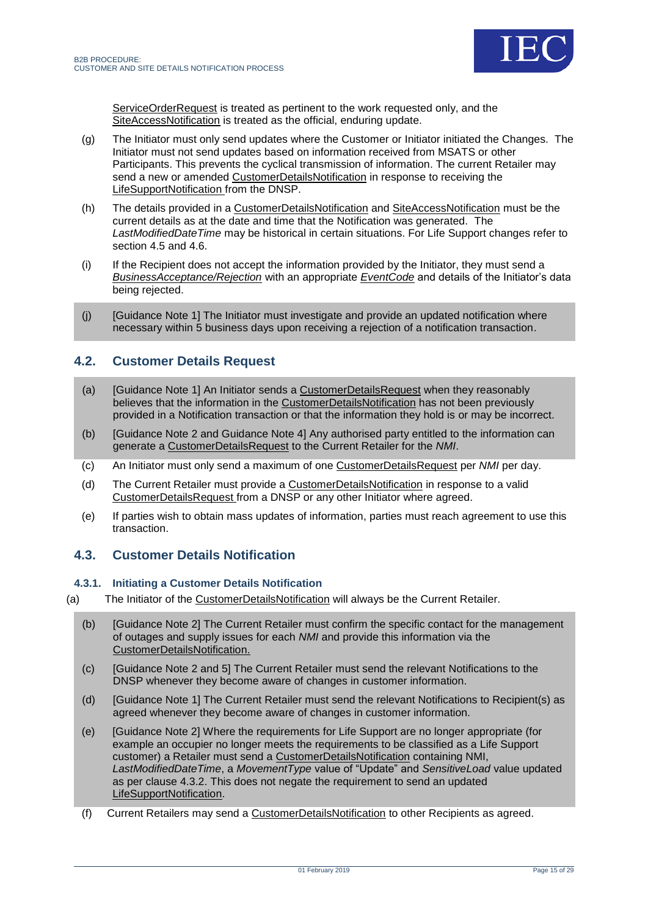

ServiceOrderRequest is treated as pertinent to the work requested only, and the SiteAccessNotification is treated as the official, enduring update.

- (g) The Initiator must only send updates where the Customer or Initiator initiated the Changes. The Initiator must not send updates based on information received from MSATS or other Participants. This prevents the cyclical transmission of information. The current Retailer may send a new or amended CustomerDetailsNotification in response to receiving the LifeSupportNotification from the DNSP.
- (h) The details provided in a CustomerDetailsNotification and SiteAccessNotification must be the current details as at the date and time that the Notification was generated. The *LastModifiedDateTime* may be historical in certain situations. For Life Support changes refer to section 4.5 and 4.6.
- (i) If the Recipient does not accept the information provided by the Initiator, they must send a *BusinessAcceptance/Rejection* with an appropriate *EventCode* and details of the Initiator's data being rejected.
- (j) [Guidance Note 1] The Initiator must investigate and provide an updated notification where necessary within 5 business days upon receiving a rejection of a notification transaction.

# <span id="page-14-0"></span>**4.2. Customer Details Request**

- (a) [Guidance Note 1] An Initiator sends a CustomerDetailsRequest when they reasonably believes that the information in the CustomerDetailsNotification has not been previously provided in a Notification transaction or that the information they hold is or may be incorrect.
- (b) [Guidance Note 2 and Guidance Note 4] Any authorised party entitled to the information can generate a CustomerDetailsRequest to the Current Retailer for the *NMI*.
- (c) An Initiator must only send a maximum of one CustomerDetailsRequest per *NMI* per day.
- (d) The Current Retailer must provide a CustomerDetailsNotification in response to a valid CustomerDetailsRequest from a DNSP or any other Initiator where agreed.
- (e) If parties wish to obtain mass updates of information, parties must reach agreement to use this transaction.

### <span id="page-14-1"></span>**4.3. Customer Details Notification**

### **4.3.1. Initiating a Customer Details Notification**

- (a) The Initiator of the CustomerDetailsNotification will always be the Current Retailer.
	- (b) [Guidance Note 2] The Current Retailer must confirm the specific contact for the management of outages and supply issues for each *NMI* and provide this information via the CustomerDetailsNotification.
	- (c) [Guidance Note 2 and 5] The Current Retailer must send the relevant Notifications to the DNSP whenever they become aware of changes in customer information.
	- (d) [Guidance Note 1] The Current Retailer must send the relevant Notifications to Recipient(s) as agreed whenever they become aware of changes in customer information.
	- (e) [Guidance Note 2] Where the requirements for Life Support are no longer appropriate (for example an occupier no longer meets the requirements to be classified as a Life Support customer) a Retailer must send a CustomerDetailsNotification containing NMI, *LastModifiedDateTime*, a *MovementType* value of "Update" and *SensitiveLoad* value updated as per clause 4.3.2. This does not negate the requirement to send an updated LifeSupportNotification.
	- (f) Current Retailers may send a CustomerDetailsNotification to other Recipients as agreed.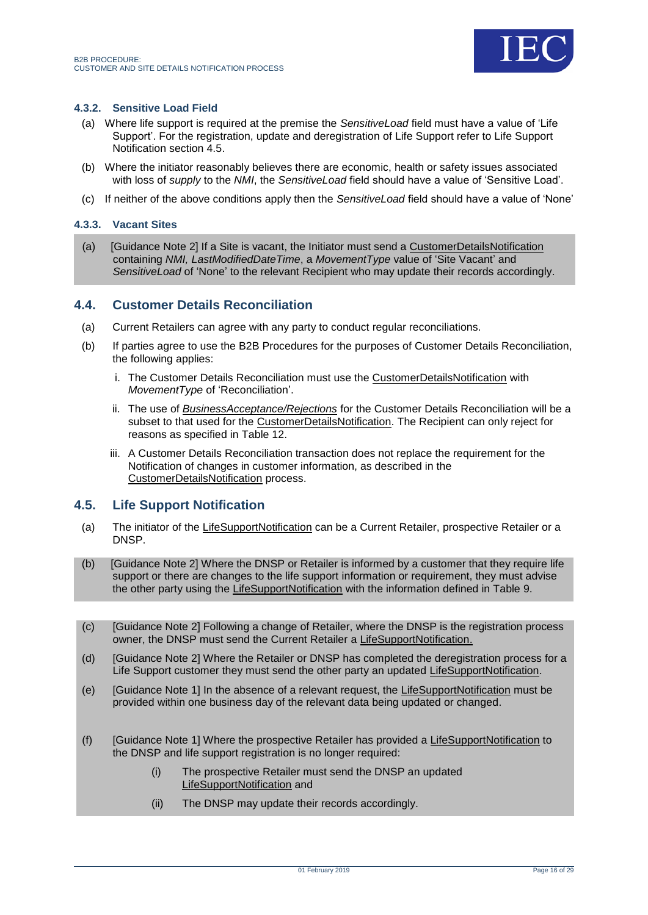

### **4.3.2. Sensitive Load Field**

- (a) Where life support is required at the premise the *SensitiveLoad* field must have a value of 'Life Support'. For the registration, update and deregistration of Life Support refer to Life Support Notification section 4.5.
- (b) Where the initiator reasonably believes there are economic, health or safety issues associated with loss of *supply* to the *NMI*, the *SensitiveLoad* field should have a value of 'Sensitive Load'.
- (c) If neither of the above conditions apply then the *SensitiveLoad* field should have a value of 'None'

#### **4.3.3. Vacant Sites**

(a) [Guidance Note 2] If a Site is vacant, the Initiator must send a CustomerDetailsNotification containing *NMI, LastModifiedDateTime*, a *MovementType* value of 'Site Vacant' and *SensitiveLoad* of 'None' to the relevant Recipient who may update their records accordingly.

### <span id="page-15-0"></span>**4.4. Customer Details Reconciliation**

- (a) Current Retailers can agree with any party to conduct regular reconciliations.
- (b) If parties agree to use the B2B Procedures for the purposes of Customer Details Reconciliation, the following applies:
	- i. The Customer Details Reconciliation must use the CustomerDetailsNotification with *MovementType* of 'Reconciliation'.
	- ii. The use of *BusinessAcceptance/Rejections* for the Customer Details Reconciliation will be a subset to that used for the CustomerDetailsNotification. The Recipient can only reject for reasons as specified in Table 12.
	- iii. A Customer Details Reconciliation transaction does not replace the requirement for the Notification of changes in customer information, as described in the CustomerDetailsNotification process.

### <span id="page-15-1"></span>**4.5. Life Support Notification**

- (a) The initiator of the LifeSupportNotification can be a Current Retailer, prospective Retailer or a DNSP.
- (b) [Guidance Note 2] Where the DNSP or Retailer is informed by a customer that they require life support or there are changes to the life support information or requirement, they must advise the other party using the LifeSupportNotification with the information defined in Table 9.
- (c) [Guidance Note 2] Following a change of Retailer, where the DNSP is the registration process owner, the DNSP must send the Current Retailer a LifeSupportNotification.
- (d) [Guidance Note 2] Where the Retailer or DNSP has completed the deregistration process for a Life Support customer they must send the other party an updated LifeSupportNotification.
- (e) [Guidance Note 1] In the absence of a relevant request, the LifeSupportNotification must be provided within one business day of the relevant data being updated or changed.
- (f) [Guidance Note 1] Where the prospective Retailer has provided a LifeSupportNotification to the DNSP and life support registration is no longer required:
	- (i) The prospective Retailer must send the DNSP an updated LifeSupportNotification and
	- (ii) The DNSP may update their records accordingly.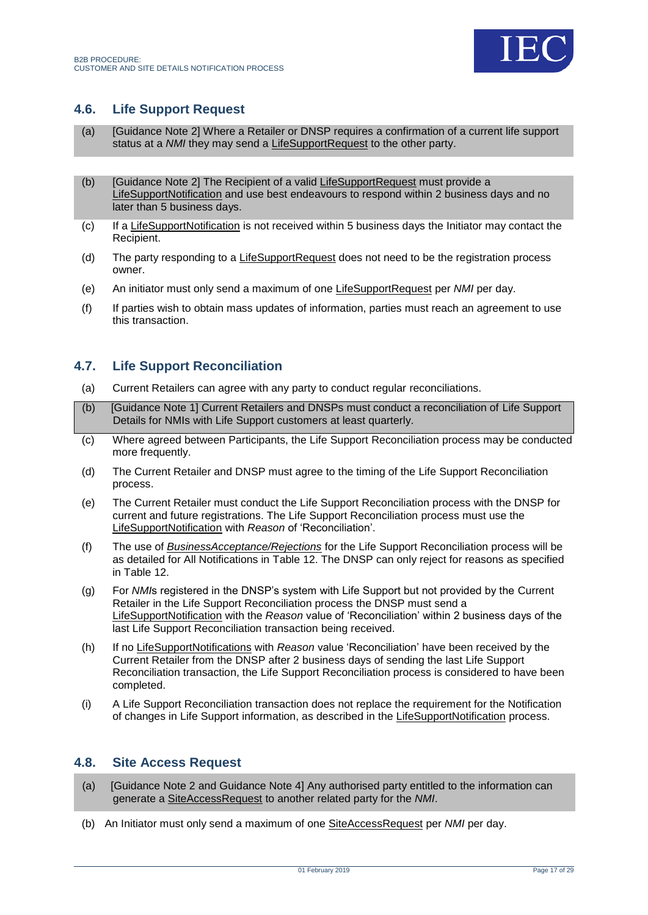

# <span id="page-16-0"></span>**4.6. Life Support Request**

- (a) [Guidance Note 2] Where a Retailer or DNSP requires a confirmation of a current life support status at a *NMI* they may send a LifeSupportRequest to the other party.
- (b) [Guidance Note 2] The Recipient of a valid LifeSupportRequest must provide a LifeSupportNotification and use best endeavours to respond within 2 business days and no later than 5 business days.
- (c) If a LifeSupportNotification is not received within 5 business days the Initiator may contact the Recipient.
- (d) The party responding to a LifeSupportRequest does not need to be the registration process owner.
- (e) An initiator must only send a maximum of one LifeSupportRequest per *NMI* per day.
- (f) If parties wish to obtain mass updates of information, parties must reach an agreement to use this transaction.

### <span id="page-16-1"></span>**4.7. Life Support Reconciliation**

- (a) Current Retailers can agree with any party to conduct regular reconciliations.
- (b) [Guidance Note 1] Current Retailers and DNSPs must conduct a reconciliation of Life Support Details for NMIs with Life Support customers at least quarterly.
- (c) Where agreed between Participants, the Life Support Reconciliation process may be conducted more frequently.
- (d) The Current Retailer and DNSP must agree to the timing of the Life Support Reconciliation process.
- (e) The Current Retailer must conduct the Life Support Reconciliation process with the DNSP for current and future registrations. The Life Support Reconciliation process must use the LifeSupportNotification with *Reason* of 'Reconciliation'.
- (f) The use of *BusinessAcceptance/Rejections* for the Life Support Reconciliation process will be as detailed for All Notifications in Table 12. The DNSP can only reject for reasons as specified in Table 12.
- (g) For *NMI*s registered in the DNSP's system with Life Support but not provided by the Current Retailer in the Life Support Reconciliation process the DNSP must send a LifeSupportNotification with the *Reason* value of 'Reconciliation' within 2 business days of the last Life Support Reconciliation transaction being received.
- (h) If no LifeSupportNotifications with *Reason* value 'Reconciliation' have been received by the Current Retailer from the DNSP after 2 business days of sending the last Life Support Reconciliation transaction, the Life Support Reconciliation process is considered to have been completed.
- (i) A Life Support Reconciliation transaction does not replace the requirement for the Notification of changes in Life Support information, as described in the LifeSupportNotification process.

### <span id="page-16-2"></span>**4.8. Site Access Request**

- (a) [Guidance Note 2 and Guidance Note 4] Any authorised party entitled to the information can generate a SiteAccessRequest to another related party for the *NMI*.
- (b) An Initiator must only send a maximum of one SiteAccessRequest per *NMI* per day.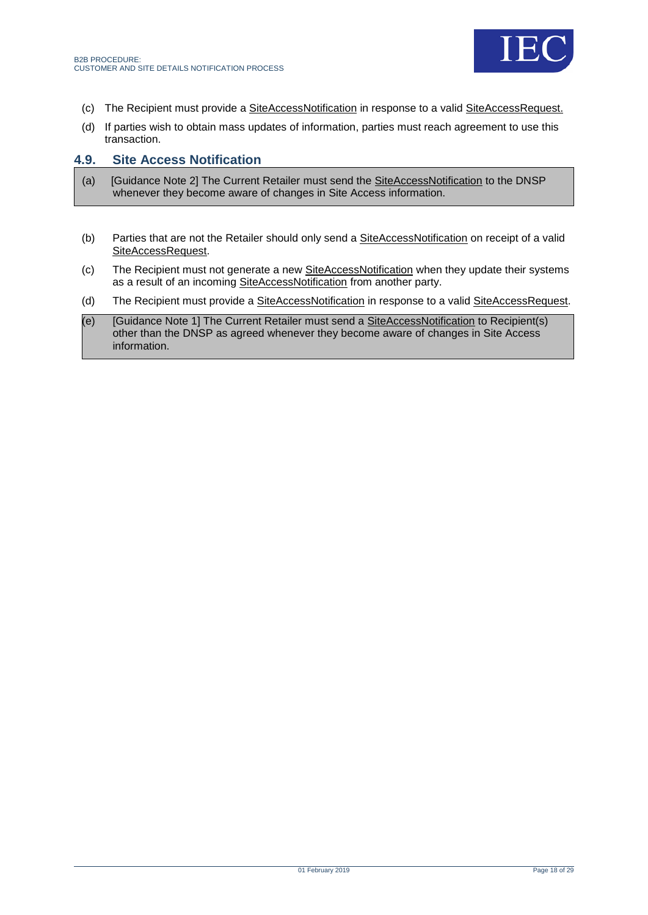

- (c) The Recipient must provide a SiteAccessNotification in response to a valid SiteAccessRequest.
- (d) If parties wish to obtain mass updates of information, parties must reach agreement to use this transaction.

### <span id="page-17-0"></span>**4.9. Site Access Notification**

- (a) [Guidance Note 2] The Current Retailer must send the **SiteAccessNotification** to the DNSP whenever they become aware of changes in Site Access information.
- (b) Parties that are not the Retailer should only send a SiteAccessNotification on receipt of a valid SiteAccessRequest.
- (c) The Recipient must not generate a new SiteAccessNotification when they update their systems as a result of an incoming SiteAccessNotification from another party.
- (d) The Recipient must provide a SiteAccessNotification in response to a valid SiteAccessRequest.
- (e) [Guidance Note 1] The Current Retailer must send a SiteAccessNotification to Recipient(s) other than the DNSP as agreed whenever they become aware of changes in Site Access information.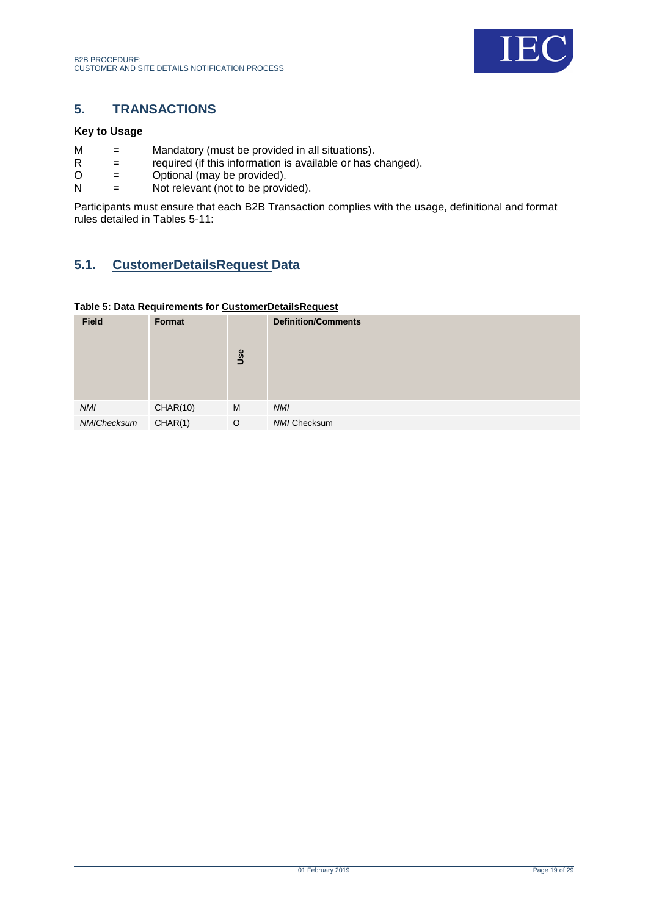

# <span id="page-18-0"></span>**5. TRANSACTIONS**

### **Key to Usage**

- $M =$  Mandatory (must be provided in all situations).<br>R  $=$  required (if this information is available or has
- $R =$  required (if this information is available or has changed).<br>  $Q =$  Optional (may be provided).
- $O =$  Optional (may be provided).<br>  $N =$  Not relevant (not to be provided).
- $=$  Not relevant (not to be provided).

Participants must ensure that each B2B Transaction complies with the usage, definitional and format rules detailed in Tables 5-11:

# <span id="page-18-1"></span>**5.1. CustomerDetailsRequest Data**

### <span id="page-18-2"></span>**Table 5: Data Requirements for CustomerDetailsRequest**

| <b>Field</b> | Format   | Use     | <b>Definition/Comments</b> |
|--------------|----------|---------|----------------------------|
| <b>NMI</b>   | CHAR(10) | M       | <b>NMI</b>                 |
| NMIChecksum  | CHAR(1)  | $\circ$ | <b>NMI Checksum</b>        |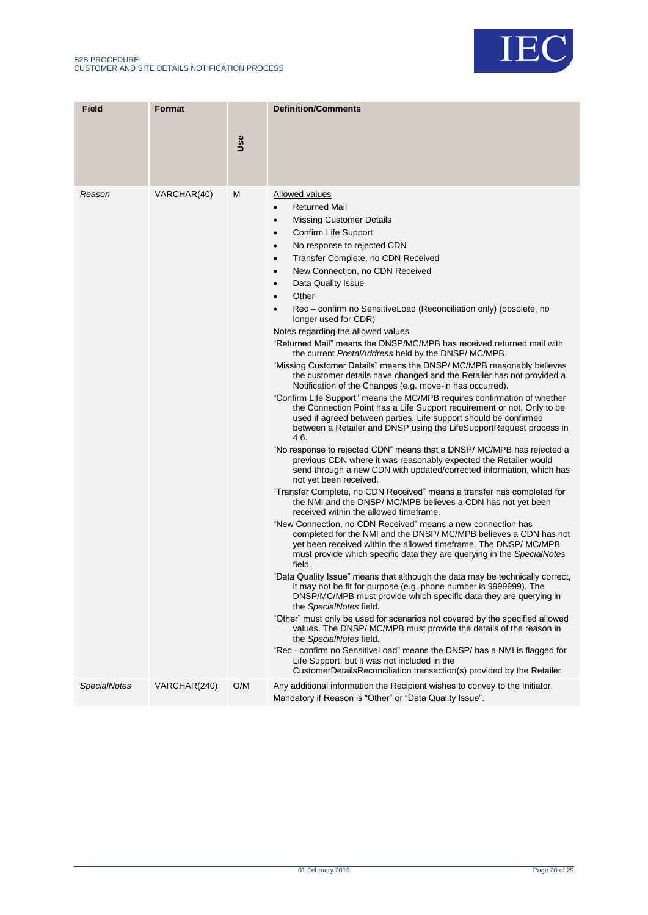

| <b>Field</b>        | <b>Format</b> | Use | <b>Definition/Comments</b>                                                                                                                                                                                                                                                                                                                                                                                                                                                                                                                                                                                                                                                                                                                                                                                                                                                                                                                                                                                                                                                                                                                                                                                                                                                                                                                                                                                                                                                                                                                                                                                                                                                                                                                                                                                                                                                                                                                                                                                                                                                                                                                                                                                                                                                                                                                                                                                                                                                                                                    |
|---------------------|---------------|-----|-------------------------------------------------------------------------------------------------------------------------------------------------------------------------------------------------------------------------------------------------------------------------------------------------------------------------------------------------------------------------------------------------------------------------------------------------------------------------------------------------------------------------------------------------------------------------------------------------------------------------------------------------------------------------------------------------------------------------------------------------------------------------------------------------------------------------------------------------------------------------------------------------------------------------------------------------------------------------------------------------------------------------------------------------------------------------------------------------------------------------------------------------------------------------------------------------------------------------------------------------------------------------------------------------------------------------------------------------------------------------------------------------------------------------------------------------------------------------------------------------------------------------------------------------------------------------------------------------------------------------------------------------------------------------------------------------------------------------------------------------------------------------------------------------------------------------------------------------------------------------------------------------------------------------------------------------------------------------------------------------------------------------------------------------------------------------------------------------------------------------------------------------------------------------------------------------------------------------------------------------------------------------------------------------------------------------------------------------------------------------------------------------------------------------------------------------------------------------------------------------------------------------------|
|                     |               |     |                                                                                                                                                                                                                                                                                                                                                                                                                                                                                                                                                                                                                                                                                                                                                                                                                                                                                                                                                                                                                                                                                                                                                                                                                                                                                                                                                                                                                                                                                                                                                                                                                                                                                                                                                                                                                                                                                                                                                                                                                                                                                                                                                                                                                                                                                                                                                                                                                                                                                                                               |
| Reason              | VARCHAR(40)   | М   | Allowed values<br><b>Returned Mail</b><br>$\bullet$<br><b>Missing Customer Details</b><br>$\bullet$<br>Confirm Life Support<br>$\bullet$<br>No response to rejected CDN<br>$\bullet$<br>Transfer Complete, no CDN Received<br>$\bullet$<br>New Connection, no CDN Received<br>$\bullet$<br>Data Quality Issue<br>$\bullet$<br>Other<br>$\bullet$<br>Rec – confirm no SensitiveLoad (Reconciliation only) (obsolete, no<br>longer used for CDR)<br>Notes regarding the allowed values<br>"Returned Mail" means the DNSP/MC/MPB has received returned mail with<br>the current <i>PostalAddress</i> held by the DNSP/MC/MPB.<br>"Missing Customer Details" means the DNSP/MC/MPB reasonably believes<br>the customer details have changed and the Retailer has not provided a<br>Notification of the Changes (e.g. move-in has occurred).<br>"Confirm Life Support" means the MC/MPB requires confirmation of whether<br>the Connection Point has a Life Support requirement or not. Only to be<br>used if agreed between parties. Life support should be confirmed<br>between a Retailer and DNSP using the LifeSupportRequest process in<br>4.6.<br>"No response to rejected CDN" means that a DNSP/ MC/MPB has rejected a<br>previous CDN where it was reasonably expected the Retailer would<br>send through a new CDN with updated/corrected information, which has<br>not yet been received.<br>"Transfer Complete, no CDN Received" means a transfer has completed for<br>the NMI and the DNSP/ MC/MPB believes a CDN has not yet been<br>received within the allowed timeframe.<br>"New Connection, no CDN Received" means a new connection has<br>completed for the NMI and the DNSP/MC/MPB believes a CDN has not<br>yet been received within the allowed timeframe. The DNSP/MC/MPB<br>must provide which specific data they are querying in the SpecialNotes<br>field.<br>"Data Quality Issue" means that although the data may be technically correct,<br>it may not be fit for purpose (e.g. phone number is 9999999). The<br>DNSP/MC/MPB must provide which specific data they are querying in<br>the SpecialNotes field.<br>"Other" must only be used for scenarios not covered by the specified allowed<br>values. The DNSP/MC/MPB must provide the details of the reason in<br>the SpecialNotes field.<br>"Rec - confirm no SensitiveLoad" means the DNSP/ has a NMI is flagged for<br>Life Support, but it was not included in the<br>CustomerDetailsReconciliation transaction(s) provided by the Retailer. |
| <b>SpecialNotes</b> | VARCHAR(240)  | O/M | Any additional information the Recipient wishes to convey to the Initiator.<br>Mandatory if Reason is "Other" or "Data Quality Issue".                                                                                                                                                                                                                                                                                                                                                                                                                                                                                                                                                                                                                                                                                                                                                                                                                                                                                                                                                                                                                                                                                                                                                                                                                                                                                                                                                                                                                                                                                                                                                                                                                                                                                                                                                                                                                                                                                                                                                                                                                                                                                                                                                                                                                                                                                                                                                                                        |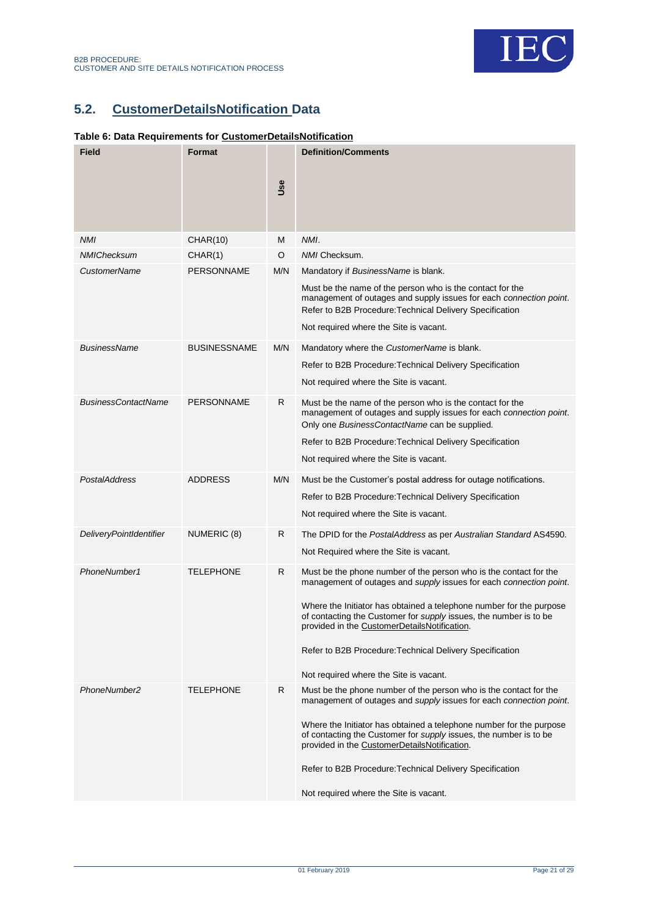

# <span id="page-20-0"></span>**5.2. CustomerDetailsNotification Data**

### <span id="page-20-1"></span>**Table 6: Data Requirements for CustomerDetailsNotification**

| <b>Field</b>               | Format              |     | <b>Definition/Comments</b>                                                                                                                                                                  |
|----------------------------|---------------------|-----|---------------------------------------------------------------------------------------------------------------------------------------------------------------------------------------------|
|                            |                     | Use |                                                                                                                                                                                             |
| <b>NMI</b>                 | <b>CHAR(10)</b>     | M   | NMI.                                                                                                                                                                                        |
| <b>NMIChecksum</b>         | CHAR(1)             | O   | NMI Checksum.                                                                                                                                                                               |
| CustomerName               | <b>PERSONNAME</b>   | M/N | Mandatory if BusinessName is blank.                                                                                                                                                         |
|                            |                     |     | Must be the name of the person who is the contact for the<br>management of outages and supply issues for each connection point.<br>Refer to B2B Procedure: Technical Delivery Specification |
|                            |                     |     | Not required where the Site is vacant.                                                                                                                                                      |
| <b>BusinessName</b>        | <b>BUSINESSNAME</b> | M/N | Mandatory where the CustomerName is blank.                                                                                                                                                  |
|                            |                     |     | Refer to B2B Procedure: Technical Delivery Specification                                                                                                                                    |
|                            |                     |     | Not required where the Site is vacant.                                                                                                                                                      |
| <b>BusinessContactName</b> | <b>PERSONNAME</b>   | R   | Must be the name of the person who is the contact for the<br>management of outages and supply issues for each connection point.<br>Only one BusinessContactName can be supplied.            |
|                            |                     |     | Refer to B2B Procedure: Technical Delivery Specification                                                                                                                                    |
|                            |                     |     | Not required where the Site is vacant.                                                                                                                                                      |
| PostalAddress              | <b>ADDRESS</b>      | M/N | Must be the Customer's postal address for outage notifications.                                                                                                                             |
|                            |                     |     | Refer to B2B Procedure: Technical Delivery Specification                                                                                                                                    |
|                            |                     |     | Not required where the Site is vacant.                                                                                                                                                      |
| DeliveryPointIdentifier    | NUMERIC (8)         | R   | The DPID for the PostalAddress as per Australian Standard AS4590.                                                                                                                           |
|                            |                     |     | Not Required where the Site is vacant.                                                                                                                                                      |
| PhoneNumber1               | <b>TELEPHONE</b>    | R   | Must be the phone number of the person who is the contact for the<br>management of outages and supply issues for each connection point.                                                     |
|                            |                     |     | Where the Initiator has obtained a telephone number for the purpose<br>of contacting the Customer for supply issues, the number is to be<br>provided in the CustomerDetailsNotification.    |
|                            |                     |     | Refer to B2B Procedure: Technical Delivery Specification                                                                                                                                    |
|                            |                     |     | Not required where the Site is vacant.                                                                                                                                                      |
| PhoneNumber2               | <b>TELEPHONE</b>    | R   | Must be the phone number of the person who is the contact for the<br>management of outages and supply issues for each connection point.                                                     |
|                            |                     |     | Where the Initiator has obtained a telephone number for the purpose<br>of contacting the Customer for supply issues, the number is to be<br>provided in the CustomerDetailsNotification.    |
|                            |                     |     | Refer to B2B Procedure: Technical Delivery Specification                                                                                                                                    |
|                            |                     |     | Not required where the Site is vacant.                                                                                                                                                      |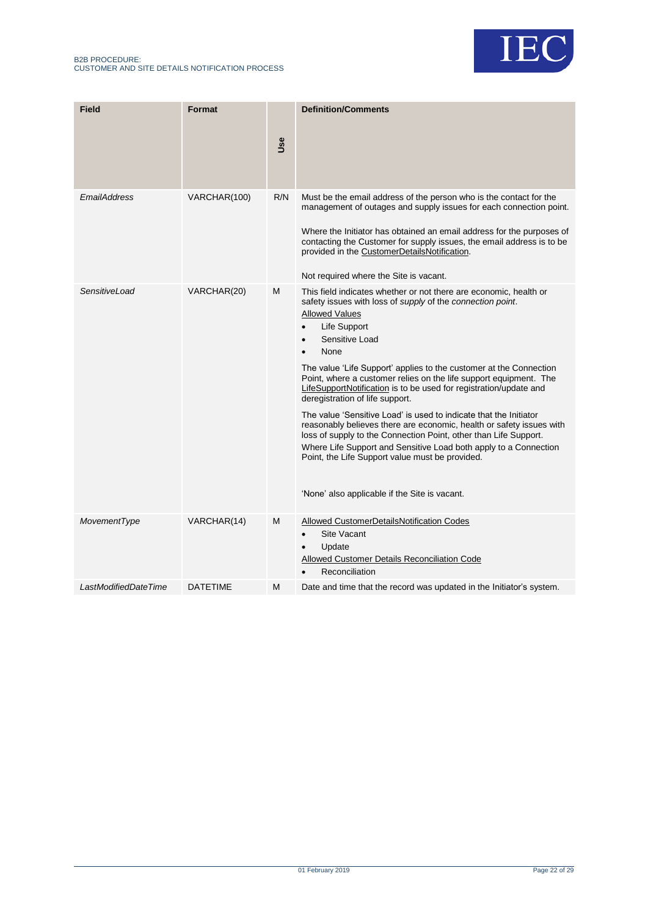#### B2B PROCEDURE: CUSTOMER AND SITE DETAILS NOTIFICATION PROCESS



| <b>Field</b>         | Format          | Use | <b>Definition/Comments</b>                                                                                                                                                                                                                                                                                                                                                                                                                                                                                                                                                                                                                                                                                                                                                                                                                                                                           |
|----------------------|-----------------|-----|------------------------------------------------------------------------------------------------------------------------------------------------------------------------------------------------------------------------------------------------------------------------------------------------------------------------------------------------------------------------------------------------------------------------------------------------------------------------------------------------------------------------------------------------------------------------------------------------------------------------------------------------------------------------------------------------------------------------------------------------------------------------------------------------------------------------------------------------------------------------------------------------------|
| EmailAddress         | VARCHAR(100)    | R/N | Must be the email address of the person who is the contact for the<br>management of outages and supply issues for each connection point.<br>Where the Initiator has obtained an email address for the purposes of<br>contacting the Customer for supply issues, the email address is to be<br>provided in the CustomerDetailsNotification.<br>Not required where the Site is vacant.                                                                                                                                                                                                                                                                                                                                                                                                                                                                                                                 |
| SensitiveLoad        | VARCHAR(20)     | м   | This field indicates whether or not there are economic, health or<br>safety issues with loss of <i>supply</i> of the <i>connection point</i> .<br><b>Allowed Values</b><br>Life Support<br>$\bullet$<br>Sensitive Load<br>$\bullet$<br>None<br>$\bullet$<br>The value 'Life Support' applies to the customer at the Connection<br>Point, where a customer relies on the life support equipment. The<br>LifeSupportNotification is to be used for registration/update and<br>deregistration of life support.<br>The value 'Sensitive Load' is used to indicate that the Initiator<br>reasonably believes there are economic, health or safety issues with<br>loss of supply to the Connection Point, other than Life Support.<br>Where Life Support and Sensitive Load both apply to a Connection<br>Point, the Life Support value must be provided.<br>'None' also applicable if the Site is vacant. |
| MovementType         | VARCHAR(14)     | M   | Allowed CustomerDetailsNotification Codes<br><b>Site Vacant</b><br>$\bullet$<br>Update<br>$\bullet$<br>Allowed Customer Details Reconciliation Code<br>Reconciliation                                                                                                                                                                                                                                                                                                                                                                                                                                                                                                                                                                                                                                                                                                                                |
| LastModifiedDateTime | <b>DATETIME</b> | м   | Date and time that the record was updated in the Initiator's system.                                                                                                                                                                                                                                                                                                                                                                                                                                                                                                                                                                                                                                                                                                                                                                                                                                 |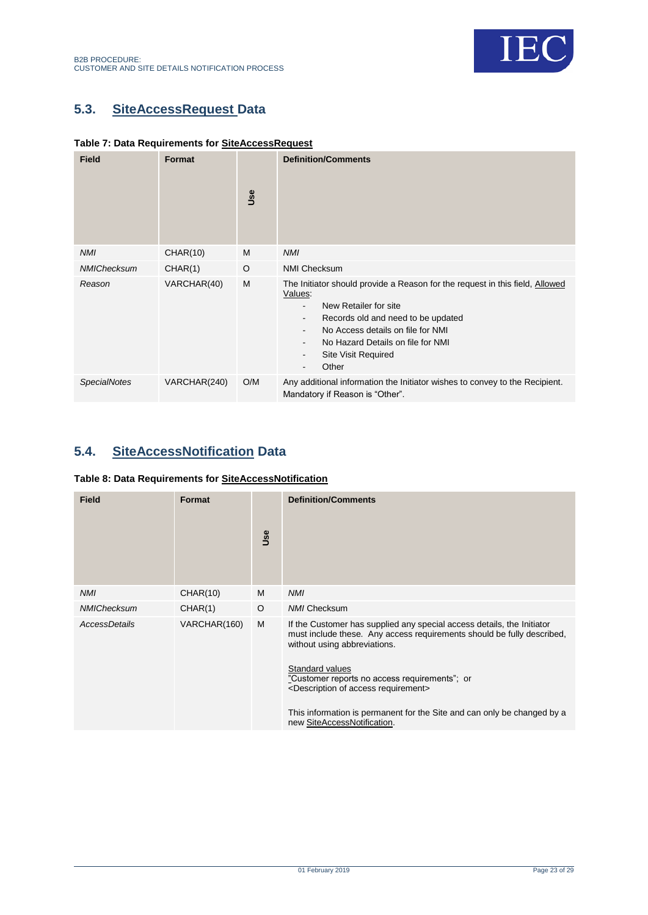



# <span id="page-22-0"></span>**5.3. SiteAccessRequest Data**

B2B PROCEDURE:

<span id="page-22-2"></span>

|  | Table 7: Data Requirements for SiteAccessRequest |  |
|--|--------------------------------------------------|--|
|  |                                                  |  |

| <b>Field</b>        | Format       | Use | <b>Definition/Comments</b>                                                                                                                                                                                                                                                                                                                                                                                |
|---------------------|--------------|-----|-----------------------------------------------------------------------------------------------------------------------------------------------------------------------------------------------------------------------------------------------------------------------------------------------------------------------------------------------------------------------------------------------------------|
| <b>NMI</b>          | CHAR(10)     | M   | <b>NMI</b>                                                                                                                                                                                                                                                                                                                                                                                                |
| <b>NMIChecksum</b>  | CHAR(1)      | O   | <b>NMI Checksum</b>                                                                                                                                                                                                                                                                                                                                                                                       |
| Reason              | VARCHAR(40)  | M   | The Initiator should provide a Reason for the request in this field, Allowed<br>Values:<br>New Retailer for site<br>$\blacksquare$<br>Records old and need to be updated<br>$\overline{\phantom{a}}$<br>No Access details on file for NMI<br>No Hazard Details on file for NMI<br>$\overline{\phantom{a}}$<br><b>Site Visit Required</b><br>$\overline{\phantom{a}}$<br>Other<br>$\overline{\phantom{a}}$ |
| <b>SpecialNotes</b> | VARCHAR(240) | O/M | Any additional information the Initiator wishes to convey to the Recipient.<br>Mandatory if Reason is "Other".                                                                                                                                                                                                                                                                                            |

# <span id="page-22-1"></span>**5.4. SiteAccessNotification Data**

### <span id="page-22-3"></span>**Table 8: Data Requirements for SiteAccessNotification**

| <b>Field</b>       | Format       | Use | <b>Definition/Comments</b>                                                                                                                                                                                                                                                                                                                                                                                                     |
|--------------------|--------------|-----|--------------------------------------------------------------------------------------------------------------------------------------------------------------------------------------------------------------------------------------------------------------------------------------------------------------------------------------------------------------------------------------------------------------------------------|
| <b>NMI</b>         | CHAR(10)     | M   | <b>NMI</b>                                                                                                                                                                                                                                                                                                                                                                                                                     |
| <b>NMIChecksum</b> | CHAR(1)      | O   | <b>NMI Checksum</b>                                                                                                                                                                                                                                                                                                                                                                                                            |
| AccessDetails      | VARCHAR(160) | M   | If the Customer has supplied any special access details, the Initiator<br>must include these. Any access requirements should be fully described,<br>without using abbreviations.<br>Standard values<br>"Customer reports no access requirements"; or<br><description access="" of="" requirement=""><br/>This information is permanent for the Site and can only be changed by a<br/>new SiteAccessNotification.</description> |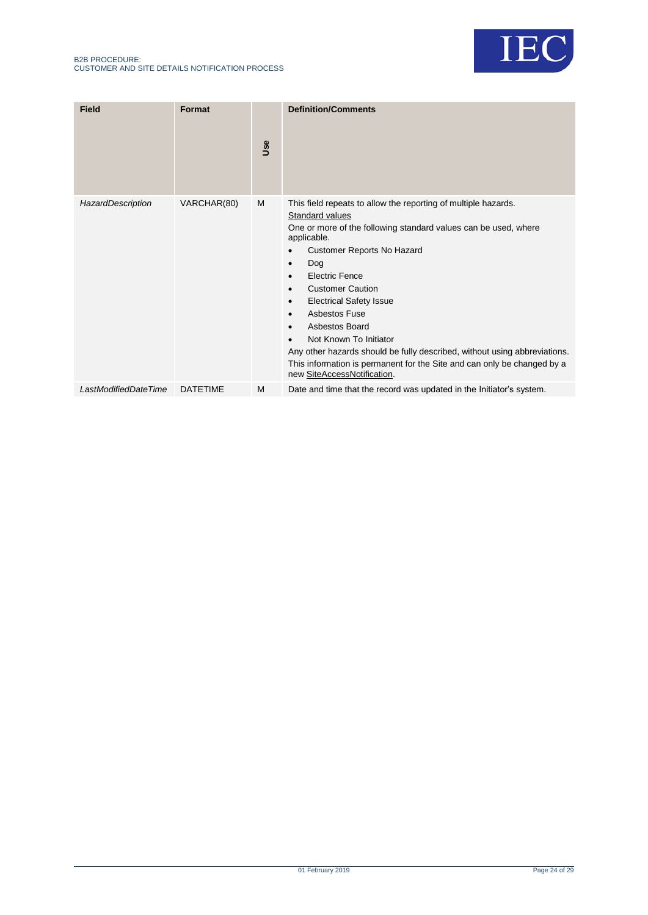

| <b>Field</b>         | Format          | Use | <b>Definition/Comments</b>                                                                                                                                                                                                                                                                                                                                                                                                                                                                                                                                           |
|----------------------|-----------------|-----|----------------------------------------------------------------------------------------------------------------------------------------------------------------------------------------------------------------------------------------------------------------------------------------------------------------------------------------------------------------------------------------------------------------------------------------------------------------------------------------------------------------------------------------------------------------------|
| HazardDescription    | VARCHAR(80)     | M   | This field repeats to allow the reporting of multiple hazards.<br>Standard values<br>One or more of the following standard values can be used, where<br>applicable.<br><b>Customer Reports No Hazard</b><br>Dog<br>$\bullet$<br>Electric Fence<br><b>Customer Caution</b><br><b>Electrical Safety Issue</b><br>٠<br>Asbestos Fuse<br>Asbestos Board<br>Not Known To Initiator<br>Any other hazards should be fully described, without using abbreviations.<br>This information is permanent for the Site and can only be changed by a<br>new SiteAccessNotification. |
| LastModifiedDateTime | <b>DATETIME</b> | M   | Date and time that the record was updated in the Initiator's system.                                                                                                                                                                                                                                                                                                                                                                                                                                                                                                 |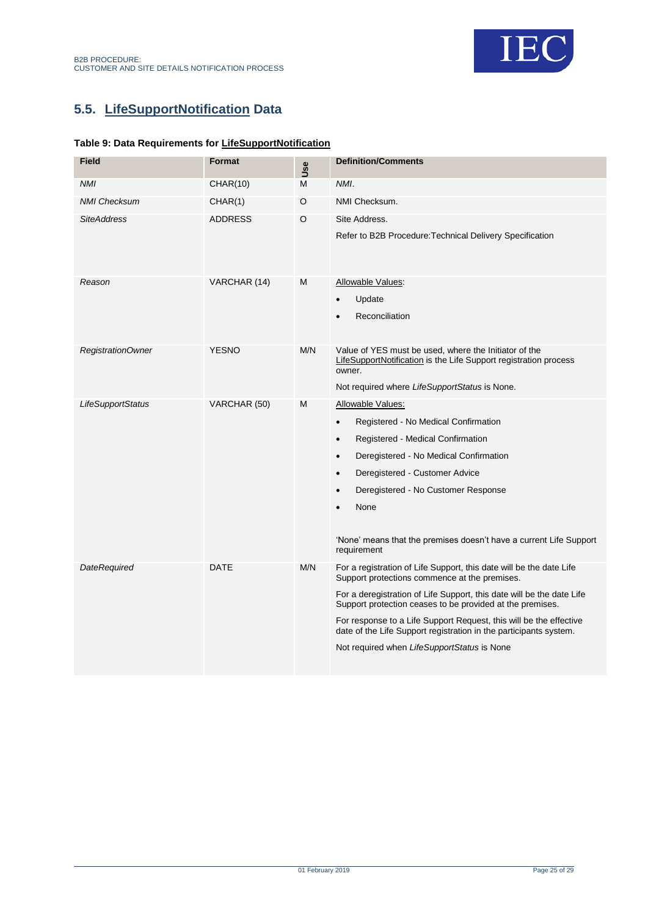

# <span id="page-24-0"></span>**5.5. LifeSupportNotification Data**

### <span id="page-24-1"></span>**Table 9: Data Requirements for LifeSupportNotification**

| <b>Field</b>        | <b>Format</b>  | Use     | <b>Definition/Comments</b>                                                                                                                                                                                                                                                                                                                                                                                                                           |
|---------------------|----------------|---------|------------------------------------------------------------------------------------------------------------------------------------------------------------------------------------------------------------------------------------------------------------------------------------------------------------------------------------------------------------------------------------------------------------------------------------------------------|
| <b>NMI</b>          | CHAR(10)       | M       | NMI.                                                                                                                                                                                                                                                                                                                                                                                                                                                 |
| <b>NMI Checksum</b> | CHAR(1)        | O       | NMI Checksum.                                                                                                                                                                                                                                                                                                                                                                                                                                        |
| <b>SiteAddress</b>  | <b>ADDRESS</b> | $\circ$ | Site Address.<br>Refer to B2B Procedure: Technical Delivery Specification                                                                                                                                                                                                                                                                                                                                                                            |
| Reason              | VARCHAR (14)   | M       | Allowable Values:<br>Update<br>Reconciliation                                                                                                                                                                                                                                                                                                                                                                                                        |
| RegistrationOwner   | <b>YESNO</b>   | M/N     | Value of YES must be used, where the Initiator of the<br>LifeSupportNotification is the Life Support registration process<br>owner.<br>Not required where LifeSupportStatus is None.                                                                                                                                                                                                                                                                 |
| LifeSupportStatus   | VARCHAR (50)   | M       | Allowable Values:<br>Registered - No Medical Confirmation<br>$\bullet$<br>Registered - Medical Confirmation<br>$\bullet$<br>Deregistered - No Medical Confirmation<br>$\bullet$<br>Deregistered - Customer Advice<br>$\bullet$<br>Deregistered - No Customer Response<br>$\bullet$<br>None<br>'None' means that the premises doesn't have a current Life Support<br>requirement                                                                      |
| <b>DateRequired</b> | <b>DATE</b>    | M/N     | For a registration of Life Support, this date will be the date Life<br>Support protections commence at the premises.<br>For a deregistration of Life Support, this date will be the date Life<br>Support protection ceases to be provided at the premises.<br>For response to a Life Support Request, this will be the effective<br>date of the Life Support registration in the participants system.<br>Not required when LifeSupportStatus is None |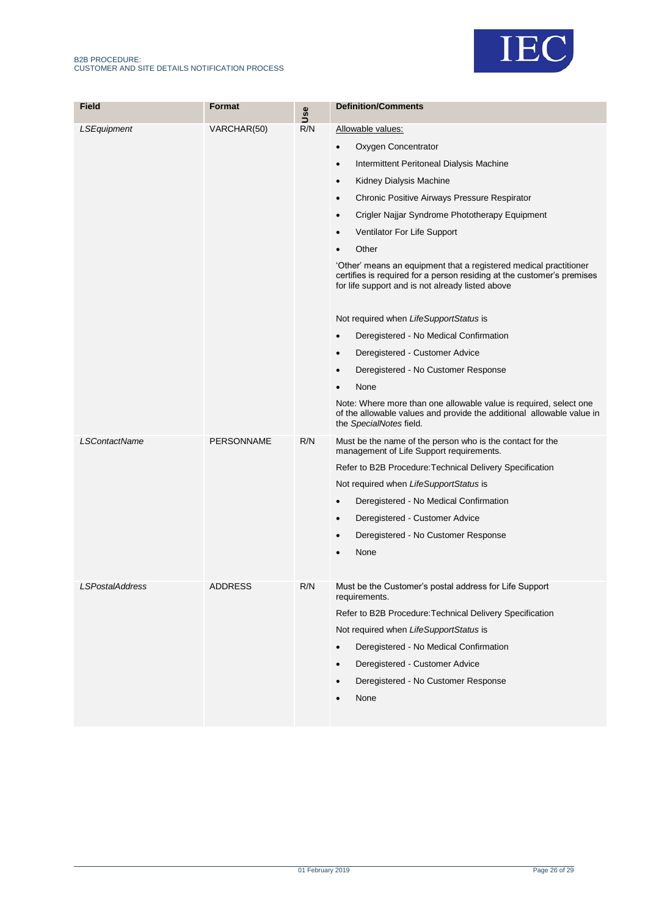#### B2B PROCEDURE: CUSTOMER AND SITE DETAILS NOTIFICATION PROCESS



| <b>Field</b>           | Format            | Use | <b>Definition/Comments</b>                                                                                                                                                                      |
|------------------------|-------------------|-----|-------------------------------------------------------------------------------------------------------------------------------------------------------------------------------------------------|
| LSEquipment            | VARCHAR(50)       | R/N | Allowable values:                                                                                                                                                                               |
|                        |                   |     | Oxygen Concentrator<br>$\bullet$                                                                                                                                                                |
|                        |                   |     | Intermittent Peritoneal Dialysis Machine<br>$\bullet$                                                                                                                                           |
|                        |                   |     | Kidney Dialysis Machine<br>$\bullet$                                                                                                                                                            |
|                        |                   |     | Chronic Positive Airways Pressure Respirator<br>$\bullet$                                                                                                                                       |
|                        |                   |     | Crigler Najjar Syndrome Phototherapy Equipment<br>$\bullet$                                                                                                                                     |
|                        |                   |     | Ventilator For Life Support<br>$\bullet$                                                                                                                                                        |
|                        |                   |     | Other                                                                                                                                                                                           |
|                        |                   |     | 'Other' means an equipment that a registered medical practitioner<br>certifies is required for a person residing at the customer's premises<br>for life support and is not already listed above |
|                        |                   |     | Not required when LifeSupportStatus is                                                                                                                                                          |
|                        |                   |     | Deregistered - No Medical Confirmation<br>$\bullet$                                                                                                                                             |
|                        |                   |     | Deregistered - Customer Advice<br>$\bullet$                                                                                                                                                     |
|                        |                   |     | Deregistered - No Customer Response<br>$\bullet$                                                                                                                                                |
|                        |                   |     | None<br>$\bullet$                                                                                                                                                                               |
|                        |                   |     | Note: Where more than one allowable value is required, select one<br>of the allowable values and provide the additional allowable value in<br>the SpecialNotes field.                           |
| <b>LSContactName</b>   | <b>PERSONNAME</b> | R/N | Must be the name of the person who is the contact for the<br>management of Life Support requirements.                                                                                           |
|                        |                   |     | Refer to B2B Procedure: Technical Delivery Specification                                                                                                                                        |
|                        |                   |     | Not required when LifeSupportStatus is                                                                                                                                                          |
|                        |                   |     | Deregistered - No Medical Confirmation<br>$\bullet$                                                                                                                                             |
|                        |                   |     | Deregistered - Customer Advice<br>$\bullet$                                                                                                                                                     |
|                        |                   |     | Deregistered - No Customer Response                                                                                                                                                             |
|                        |                   |     | None                                                                                                                                                                                            |
| <i>LSPostalAddress</i> | <b>ADDRESS</b>    | R/N | Must be the Customer's postal address for Life Support<br>requirements.                                                                                                                         |
|                        |                   |     | Refer to B2B Procedure: Technical Delivery Specification                                                                                                                                        |
|                        |                   |     | Not required when LifeSupportStatus is                                                                                                                                                          |
|                        |                   |     | Deregistered - No Medical Confirmation                                                                                                                                                          |
|                        |                   |     | Deregistered - Customer Advice<br>$\bullet$                                                                                                                                                     |
|                        |                   |     | Deregistered - No Customer Response<br>$\bullet$                                                                                                                                                |
|                        |                   |     | None<br>$\bullet$                                                                                                                                                                               |
|                        |                   |     |                                                                                                                                                                                                 |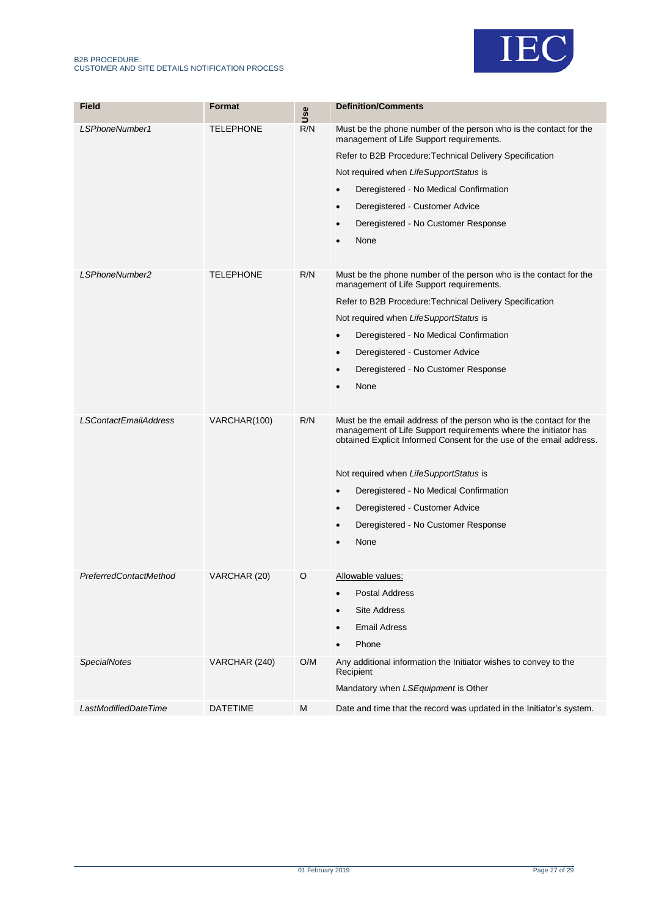



| Field                        | Format           | Use | <b>Definition/Comments</b>                                                                                                                                                                                    |
|------------------------------|------------------|-----|---------------------------------------------------------------------------------------------------------------------------------------------------------------------------------------------------------------|
| LSPhoneNumber1               | <b>TELEPHONE</b> | R/N | Must be the phone number of the person who is the contact for the<br>management of Life Support requirements.                                                                                                 |
|                              |                  |     | Refer to B2B Procedure: Technical Delivery Specification                                                                                                                                                      |
|                              |                  |     | Not required when LifeSupportStatus is                                                                                                                                                                        |
|                              |                  |     | Deregistered - No Medical Confirmation<br>٠                                                                                                                                                                   |
|                              |                  |     | Deregistered - Customer Advice<br>٠                                                                                                                                                                           |
|                              |                  |     | Deregistered - No Customer Response<br>$\bullet$                                                                                                                                                              |
|                              |                  |     | None                                                                                                                                                                                                          |
|                              |                  |     |                                                                                                                                                                                                               |
| LSPhoneNumber2               | <b>TELEPHONE</b> | R/N | Must be the phone number of the person who is the contact for the<br>management of Life Support requirements.                                                                                                 |
|                              |                  |     | Refer to B2B Procedure: Technical Delivery Specification                                                                                                                                                      |
|                              |                  |     | Not required when LifeSupportStatus is                                                                                                                                                                        |
|                              |                  |     | Deregistered - No Medical Confirmation<br>٠                                                                                                                                                                   |
|                              |                  |     | Deregistered - Customer Advice<br>$\bullet$                                                                                                                                                                   |
|                              |                  |     | Deregistered - No Customer Response<br>٠                                                                                                                                                                      |
|                              |                  |     | None                                                                                                                                                                                                          |
|                              |                  |     |                                                                                                                                                                                                               |
| <b>LSContactEmailAddress</b> | VARCHAR(100)     | R/N | Must be the email address of the person who is the contact for the<br>management of Life Support requirements where the initiator has<br>obtained Explicit Informed Consent for the use of the email address. |
|                              |                  |     | Not required when LifeSupportStatus is                                                                                                                                                                        |
|                              |                  |     | Deregistered - No Medical Confirmation<br>$\bullet$                                                                                                                                                           |
|                              |                  |     | Deregistered - Customer Advice<br>٠                                                                                                                                                                           |
|                              |                  |     | Deregistered - No Customer Response<br>٠                                                                                                                                                                      |
|                              |                  |     | None                                                                                                                                                                                                          |
|                              |                  |     |                                                                                                                                                                                                               |
| PreferredContactMethod       | VARCHAR (20)     | O   | Allowable values:                                                                                                                                                                                             |
|                              |                  |     | <b>Postal Address</b><br>$\bullet$                                                                                                                                                                            |
|                              |                  |     | <b>Site Address</b>                                                                                                                                                                                           |
|                              |                  |     | <b>Email Adress</b><br>$\bullet$                                                                                                                                                                              |
|                              |                  |     | Phone                                                                                                                                                                                                         |
| <b>SpecialNotes</b>          | VARCHAR (240)    | O/M | Any additional information the Initiator wishes to convey to the<br>Recipient                                                                                                                                 |
|                              |                  |     | Mandatory when LSEquipment is Other                                                                                                                                                                           |
| LastModifiedDateTime         |                  | M   |                                                                                                                                                                                                               |
|                              | <b>DATETIME</b>  |     | Date and time that the record was updated in the Initiator's system.                                                                                                                                          |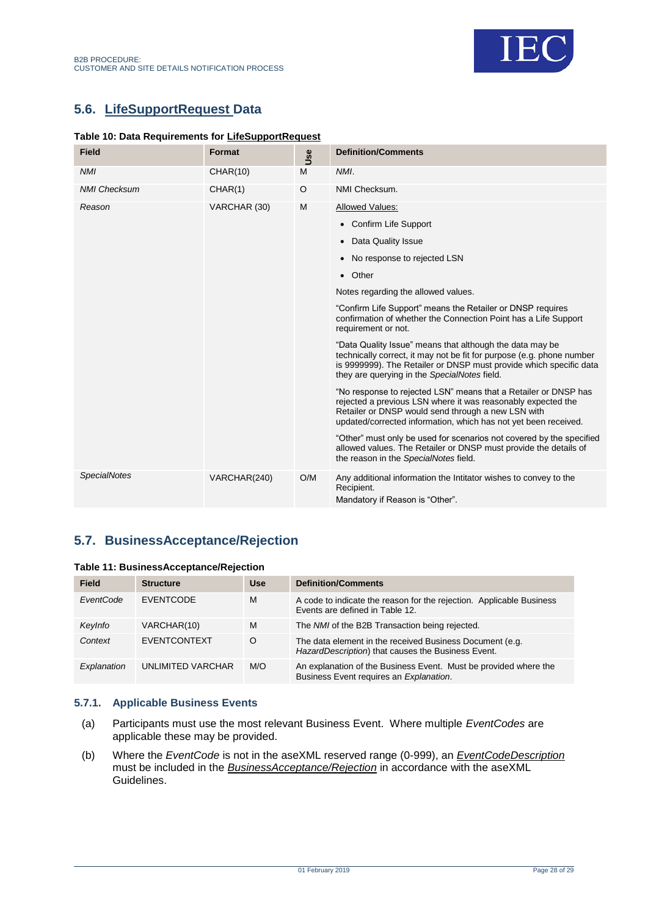

# <span id="page-27-0"></span>**5.6. LifeSupportRequest Data**

### <span id="page-27-2"></span>**Table 10: Data Requirements for LifeSupportRequest**

| <b>Field</b>        | <b>Format</b> | Use | <b>Definition/Comments</b>                                                                                                                                                                                                                               |
|---------------------|---------------|-----|----------------------------------------------------------------------------------------------------------------------------------------------------------------------------------------------------------------------------------------------------------|
| <b>NMI</b>          | CHAR(10)      | M   | NMI.                                                                                                                                                                                                                                                     |
| <b>NMI Checksum</b> | CHAR(1)       | O   | NMI Checksum.                                                                                                                                                                                                                                            |
| Reason              | VARCHAR (30)  | M   | Allowed Values:                                                                                                                                                                                                                                          |
|                     |               |     | • Confirm Life Support                                                                                                                                                                                                                                   |
|                     |               |     | Data Quality Issue                                                                                                                                                                                                                                       |
|                     |               |     | No response to rejected LSN                                                                                                                                                                                                                              |
|                     |               |     | • Other                                                                                                                                                                                                                                                  |
|                     |               |     | Notes regarding the allowed values.                                                                                                                                                                                                                      |
|                     |               |     | "Confirm Life Support" means the Retailer or DNSP requires<br>confirmation of whether the Connection Point has a Life Support<br>requirement or not.                                                                                                     |
|                     |               |     | "Data Quality Issue" means that although the data may be<br>technically correct, it may not be fit for purpose (e.g. phone number<br>is 9999999). The Retailer or DNSP must provide which specific data<br>they are querying in the SpecialNotes field.  |
|                     |               |     | "No response to rejected LSN" means that a Retailer or DNSP has<br>rejected a previous LSN where it was reasonably expected the<br>Retailer or DNSP would send through a new LSN with<br>updated/corrected information, which has not yet been received. |
|                     |               |     | "Other" must only be used for scenarios not covered by the specified<br>allowed values. The Retailer or DNSP must provide the details of<br>the reason in the SpecialNotes field.                                                                        |
| <b>SpecialNotes</b> | VARCHAR(240)  | O/M | Any additional information the Intitator wishes to convey to the<br>Recipient.<br>Mandatory if Reason is "Other".                                                                                                                                        |

# <span id="page-27-1"></span>**5.7. BusinessAcceptance/Rejection**

<span id="page-27-3"></span>

| Table 11: BusinessAcceptance/Rejection |  |
|----------------------------------------|--|
|----------------------------------------|--|

| <b>Field</b> | <b>Structure</b>    | <b>Use</b> | <b>Definition/Comments</b>                                                                                     |
|--------------|---------------------|------------|----------------------------------------------------------------------------------------------------------------|
| EventCode    | <b>EVENTCODE</b>    | M          | A code to indicate the reason for the rejection. Applicable Business<br>Events are defined in Table 12.        |
| Keylnfo      | VARCHAR(10)         | M          | The NMI of the B2B Transaction being rejected.                                                                 |
| Context      | <b>EVENTCONTEXT</b> | O          | The data element in the received Business Document (e.g.<br>HazardDescription) that causes the Business Event. |
| Explanation  | UNLIMITED VARCHAR   | M/O        | An explanation of the Business Event. Must be provided where the<br>Business Event requires an Explanation.    |

### **5.7.1. Applicable Business Events**

- (a) Participants must use the most relevant Business Event. Where multiple *EventCodes* are applicable these may be provided.
- (b) Where the *EventCode* is not in the aseXML reserved range (0-999), an *EventCodeDescription* must be included in the *BusinessAcceptance/Rejection* in accordance with the aseXML Guidelines.